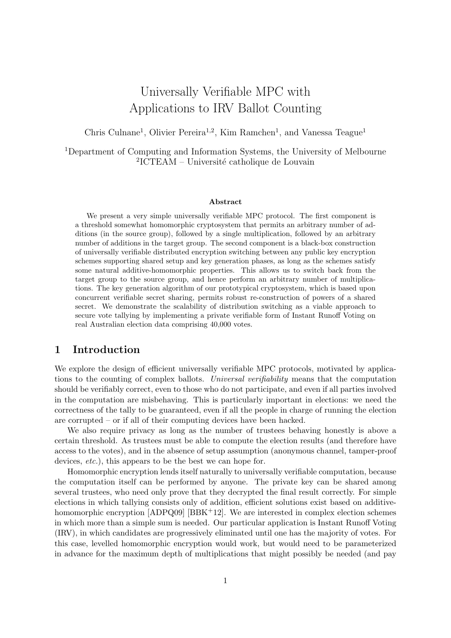# Universally Verifiable MPC with Applications to IRV Ballot Counting

Chris Culnane<sup>1</sup>, Olivier Pereira<sup>1,2</sup>, Kim Ramchen<sup>1</sup>, and Vanessa Teague<sup>1</sup>

<sup>1</sup>Department of Computing and Information Systems, the University of Melbourne <sup>2</sup>ICTEAM – Université catholique de Louvain

#### Abstract

We present a very simple universally verifiable MPC protocol. The first component is a threshold somewhat homomorphic cryptosystem that permits an arbitrary number of additions (in the source group), followed by a single multiplication, followed by an arbitrary number of additions in the target group. The second component is a black-box construction of universally verifiable distributed encryption switching between any public key encryption schemes supporting shared setup and key generation phases, as long as the schemes satisfy some natural additive-homomorphic properties. This allows us to switch back from the target group to the source group, and hence perform an arbitrary number of multiplications. The key generation algorithm of our prototypical cryptosystem, which is based upon concurrent verifiable secret sharing, permits robust re-construction of powers of a shared secret. We demonstrate the scalability of distribution switching as a viable approach to secure vote tallying by implementing a private verifiable form of Instant Runoff Voting on real Australian election data comprising 40,000 votes.

# 1 Introduction

We explore the design of efficient universally verifiable MPC protocols, motivated by applications to the counting of complex ballots. Universal verifiability means that the computation should be verifiably correct, even to those who do not participate, and even if all parties involved in the computation are misbehaving. This is particularly important in elections: we need the correctness of the tally to be guaranteed, even if all the people in charge of running the election are corrupted – or if all of their computing devices have been hacked.

We also require privacy as long as the number of trustees behaving honestly is above a certain threshold. As trustees must be able to compute the election results (and therefore have access to the votes), and in the absence of setup assumption (anonymous channel, tamper-proof devices, *etc.*), this appears to be the best we can hope for.

Homomorphic encryption lends itself naturally to universally verifiable computation, because the computation itself can be performed by anyone. The private key can be shared among several trustees, who need only prove that they decrypted the final result correctly. For simple elections in which tallying consists only of addition, efficient solutions exist based on additivehomomorphic encryption  $[ADPQ09]$   $[BBK<sup>+12</sup>]$ . We are interested in complex election schemes in which more than a simple sum is needed. Our particular application is Instant Runoff Voting (IRV), in which candidates are progressively eliminated until one has the majority of votes. For this case, levelled homomorphic encryption would work, but would need to be parameterized in advance for the maximum depth of multiplications that might possibly be needed (and pay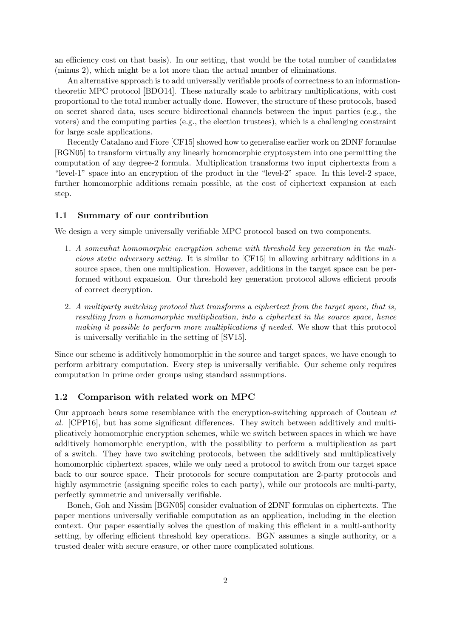an efficiency cost on that basis). In our setting, that would be the total number of candidates (minus 2), which might be a lot more than the actual number of eliminations.

An alternative approach is to add universally verifiable proofs of correctness to an informationtheoretic MPC protocol [BDO14]. These naturally scale to arbitrary multiplications, with cost proportional to the total number actually done. However, the structure of these protocols, based on secret shared data, uses secure bidirectional channels between the input parties (e.g., the voters) and the computing parties (e.g., the election trustees), which is a challenging constraint for large scale applications.

Recently Catalano and Fiore [CF15] showed how to generalise earlier work on 2DNF formulae [BGN05] to transform virtually any linearly homomorphic cryptosystem into one permitting the computation of any degree-2 formula. Multiplication transforms two input ciphertexts from a "level-1" space into an encryption of the product in the "level-2" space. In this level-2 space, further homomorphic additions remain possible, at the cost of ciphertext expansion at each step.

### 1.1 Summary of our contribution

We design a very simple universally verifiable MPC protocol based on two components.

- 1. A somewhat homomorphic encryption scheme with threshold key generation in the malicious static adversary setting. It is similar to [CF15] in allowing arbitrary additions in a source space, then one multiplication. However, additions in the target space can be performed without expansion. Our threshold key generation protocol allows efficient proofs of correct decryption.
- 2. A multiparty switching protocol that transforms a ciphertext from the target space, that is, resulting from a homomorphic multiplication, into a ciphertext in the source space, hence making it possible to perform more multiplications if needed. We show that this protocol is universally verifiable in the setting of [SV15].

Since our scheme is additively homomorphic in the source and target spaces, we have enough to perform arbitrary computation. Every step is universally verifiable. Our scheme only requires computation in prime order groups using standard assumptions.

#### 1.2 Comparison with related work on MPC

Our approach bears some resemblance with the encryption-switching approach of Couteau et al. [CPP16], but has some significant differences. They switch between additively and multiplicatively homomorphic encryption schemes, while we switch between spaces in which we have additively homomorphic encryption, with the possibility to perform a multiplication as part of a switch. They have two switching protocols, between the additively and multiplicatively homomorphic ciphertext spaces, while we only need a protocol to switch from our target space back to our source space. Their protocols for secure computation are 2-party protocols and highly asymmetric (assigning specific roles to each party), while our protocols are multi-party, perfectly symmetric and universally verifiable.

Boneh, Goh and Nissim [BGN05] consider evaluation of 2DNF formulas on ciphertexts. The paper mentions universally verifiable computation as an application, including in the election context. Our paper essentially solves the question of making this efficient in a multi-authority setting, by offering efficient threshold key operations. BGN assumes a single authority, or a trusted dealer with secure erasure, or other more complicated solutions.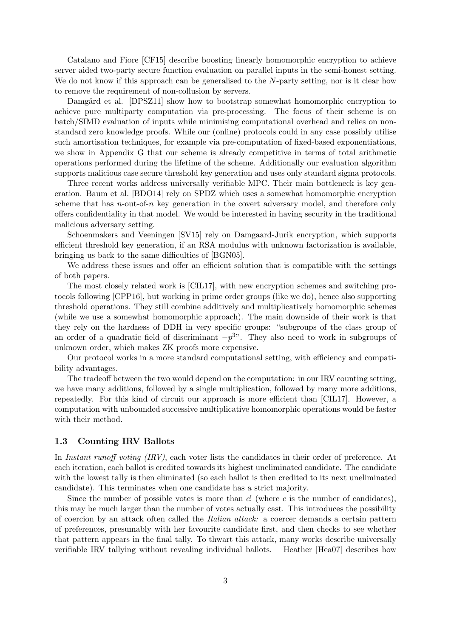Catalano and Fiore [CF15] describe boosting linearly homomorphic encryption to achieve server aided two-party secure function evaluation on parallel inputs in the semi-honest setting. We do not know if this approach can be generalised to the N-party setting, nor is it clear how to remove the requirement of non-collusion by servers.

Damgård et al. [DPSZ11] show how to bootstrap somewhat homomorphic encryption to achieve pure multiparty computation via pre-processing. The focus of their scheme is on batch/SIMD evaluation of inputs while minimising computational overhead and relies on nonstandard zero knowledge proofs. While our (online) protocols could in any case possibly utilise such amortisation techniques, for example via pre-computation of fixed-based exponentiations, we show in Appendix G that our scheme is already competitive in terms of total arithmetic operations performed during the lifetime of the scheme. Additionally our evaluation algorithm supports malicious case secure threshold key generation and uses only standard sigma protocols.

Three recent works address universally verifiable MPC. Their main bottleneck is key generation. Baum et al. [BDO14] rely on SPDZ which uses a somewhat homomorphic encryption scheme that has  $n$ -out-of-n key generation in the covert adversary model, and therefore only offers confidentiality in that model. We would be interested in having security in the traditional malicious adversary setting.

Schoenmakers and Veeningen [SV15] rely on Damgaard-Jurik encryption, which supports efficient threshold key generation, if an RSA modulus with unknown factorization is available, bringing us back to the same difficulties of [BGN05].

We address these issues and offer an efficient solution that is compatible with the settings of both papers.

The most closely related work is [CIL17], with new encryption schemes and switching protocols following [CPP16], but working in prime order groups (like we do), hence also supporting threshold operations. They still combine additively and multiplicatively homomorphic schemes (while we use a somewhat homomorphic approach). The main downside of their work is that they rely on the hardness of DDH in very specific groups: "subgroups of the class group of an order of a quadratic field of discriminant  $-p^{3}$ . They also need to work in subgroups of unknown order, which makes ZK proofs more expensive.

Our protocol works in a more standard computational setting, with efficiency and compatibility advantages.

The tradeoff between the two would depend on the computation: in our IRV counting setting, we have many additions, followed by a single multiplication, followed by many more additions, repeatedly. For this kind of circuit our approach is more efficient than [CIL17]. However, a computation with unbounded successive multiplicative homomorphic operations would be faster with their method.

### 1.3 Counting IRV Ballots

In Instant runoff voting *(IRV)*, each voter lists the candidates in their order of preference. At each iteration, each ballot is credited towards its highest uneliminated candidate. The candidate with the lowest tally is then eliminated (so each ballot is then credited to its next uneliminated candidate). This terminates when one candidate has a strict majority.

Since the number of possible votes is more than  $c!$  (where  $c$  is the number of candidates), this may be much larger than the number of votes actually cast. This introduces the possibility of coercion by an attack often called the Italian attack: a coercer demands a certain pattern of preferences, presumably with her favourite candidate first, and then checks to see whether that pattern appears in the final tally. To thwart this attack, many works describe universally verifiable IRV tallying without revealing individual ballots. Heather [Hea07] describes how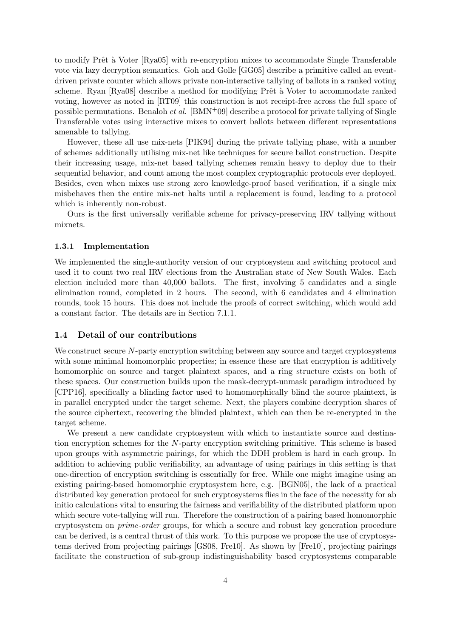to modify Prêt à Voter [Rya05] with re-encryption mixes to accommodate Single Transferable vote via lazy decryption semantics. Goh and Golle [GG05] describe a primitive called an eventdriven private counter which allows private non-interactive tallying of ballots in a ranked voting scheme. Ryan [Rya08] describe a method for modifying Prêt à Voter to accommodate ranked voting, however as noted in [RT09] this construction is not receipt-free across the full space of possible permutations. Benaloh *et al.* [BMN<sup>+</sup>09] describe a protocol for private tallying of Single Transferable votes using interactive mixes to convert ballots between different representations amenable to tallying.

However, these all use mix-nets [PIK94] during the private tallying phase, with a number of schemes additionally utilising mix-net like techniques for secure ballot construction. Despite their increasing usage, mix-net based tallying schemes remain heavy to deploy due to their sequential behavior, and count among the most complex cryptographic protocols ever deployed. Besides, even when mixes use strong zero knowledge-proof based verification, if a single mix misbehaves then the entire mix-net halts until a replacement is found, leading to a protocol which is inherently non-robust.

Ours is the first universally verifiable scheme for privacy-preserving IRV tallying without mixnets.

#### 1.3.1 Implementation

We implemented the single-authority version of our cryptosystem and switching protocol and used it to count two real IRV elections from the Australian state of New South Wales. Each election included more than 40,000 ballots. The first, involving 5 candidates and a single elimination round, completed in 2 hours. The second, with 6 candidates and 4 elimination rounds, took 15 hours. This does not include the proofs of correct switching, which would add a constant factor. The details are in Section 7.1.1.

### 1.4 Detail of our contributions

We construct secure N-party encryption switching between any source and target cryptosystems with some minimal homomorphic properties; in essence these are that encryption is additively homomorphic on source and target plaintext spaces, and a ring structure exists on both of these spaces. Our construction builds upon the mask-decrypt-unmask paradigm introduced by [CPP16], specifically a blinding factor used to homomorphically blind the source plaintext, is in parallel encrypted under the target scheme. Next, the players combine decryption shares of the source ciphertext, recovering the blinded plaintext, which can then be re-encrypted in the target scheme.

We present a new candidate cryptosystem with which to instantiate source and destination encryption schemes for the N-party encryption switching primitive. This scheme is based upon groups with asymmetric pairings, for which the DDH problem is hard in each group. In addition to achieving public verifiability, an advantage of using pairings in this setting is that one-direction of encryption switching is essentially for free. While one might imagine using an existing pairing-based homomorphic cryptosystem here, e.g. [BGN05], the lack of a practical distributed key generation protocol for such cryptosystems flies in the face of the necessity for ab initio calculations vital to ensuring the fairness and verifiability of the distributed platform upon which secure vote-tallying will run. Therefore the construction of a pairing based homomorphic cryptosystem on prime-order groups, for which a secure and robust key generation procedure can be derived, is a central thrust of this work. To this purpose we propose the use of cryptosystems derived from projecting pairings [GS08, Fre10]. As shown by [Fre10], projecting pairings facilitate the construction of sub-group indistinguishability based cryptosystems comparable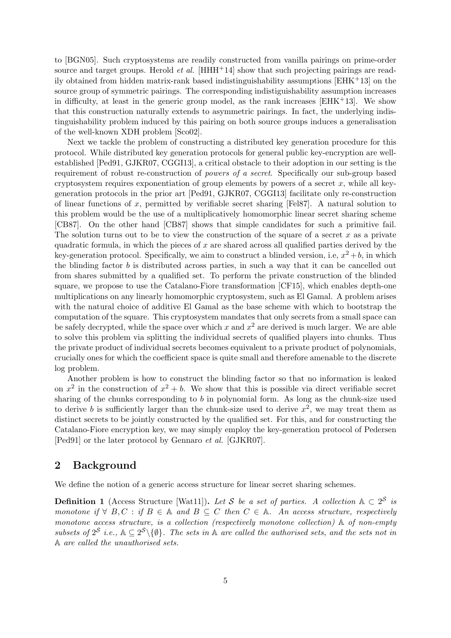to [BGN05]. Such cryptosystems are readily constructed from vanilla pairings on prime-order source and target groups. Herold *et al.* [HHH<sup>+</sup>14] show that such projecting pairings are readily obtained from hidden matrix-rank based indistinguishability assumptions  $[EHK^+13]$  on the source group of symmetric pairings. The corresponding indistiguishability assumption increases in difficulty, at least in the generic group model, as the rank increases  $[EHK^+13]$ . We show that this construction naturally extends to asymmetric pairings. In fact, the underlying indistinguishability problem induced by this pairing on both source groups induces a generalisation of the well-known XDH problem [Sco02].

Next we tackle the problem of constructing a distributed key generation procedure for this protocol. While distributed key generation protocols for general public key-encryption are wellestablished [Ped91, GJKR07, CGGI13], a critical obstacle to their adoption in our setting is the requirement of robust re-construction of powers of a secret. Specifically our sub-group based cryptosystem requires exponentiation of group elements by powers of a secret  $x$ , while all keygeneration protocols in the prior art [Ped91, GJKR07, CGGI13] facilitate only re-construction of linear functions of x, permitted by verifiable secret sharing  $[Fe187]$ . A natural solution to this problem would be the use of a multiplicatively homomorphic linear secret sharing scheme [CB87]. On the other hand [CB87] shows that simple candidates for such a primitive fail. The solution turns out to be to view the construction of the square of a secret  $x$  as a private quadratic formula, in which the pieces of  $x$  are shared across all qualified parties derived by the key-generation protocol. Specifically, we aim to construct a blinded version, i.e,  $x^2 + b$ , in which the blinding factor b is distributed across parties, in such a way that it can be cancelled out from shares submitted by a qualified set. To perform the private construction of the blinded square, we propose to use the Catalano-Fiore transformation [CF15], which enables depth-one multiplications on any linearly homomorphic cryptosystem, such as El Gamal. A problem arises with the natural choice of additive El Gamal as the base scheme with which to bootstrap the computation of the square. This cryptosystem mandates that only secrets from a small space can be safely decrypted, while the space over which x and  $x^2$  are derived is much larger. We are able to solve this problem via splitting the individual secrets of qualified players into chunks. Thus the private product of individual secrets becomes equivalent to a private product of polynomials, crucially ones for which the coefficient space is quite small and therefore amenable to the discrete log problem.

Another problem is how to construct the blinding factor so that no information is leaked on  $x^2$  in the construction of  $x^2 + b$ . We show that this is possible via direct verifiable secret sharing of the chunks corresponding to  $b$  in polynomial form. As long as the chunk-size used to derive b is sufficiently larger than the chunk-size used to derive  $x^2$ , we may treat them as distinct secrets to be jointly constructed by the qualified set. For this, and for constructing the Catalano-Fiore encryption key, we may simply employ the key-generation protocol of Pedersen [Ped91] or the later protocol by Gennaro et al. [GJKR07].

### 2 Background

We define the notion of a generic access structure for linear secret sharing schemes.

**Definition 1** (Access Structure [Wat11]). Let S be a set of parties. A collection  $A \subset 2^S$  is monotone if  $\forall B, C : \text{if } B \in \mathbb{A}$  and  $B \subseteq C$  then  $C \in \mathbb{A}$ . An access structure, respectively monotone access structure, is a collection (respectively monotone collection)  $\mathbb A$  of non-empty subsets of  $2^S$  i.e.,  $\mathbb{A} \subseteq 2^S \setminus \{ \emptyset \}$ . The sets in  $\mathbb A$  are called the authorised sets, and the sets not in A are called the unauthorised sets.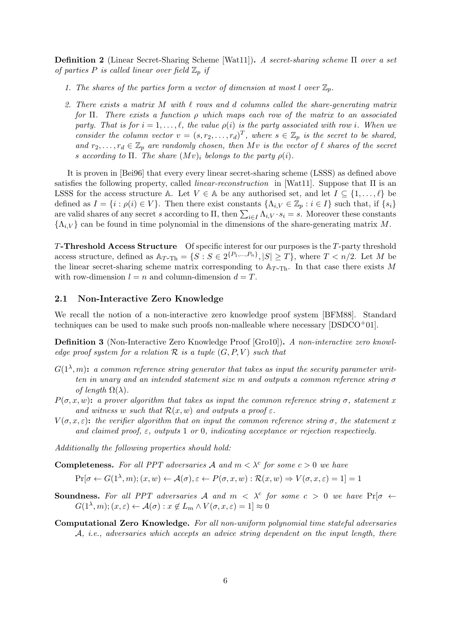Definition 2 (Linear Secret-Sharing Scheme [Wat11]). A secret-sharing scheme Π over a set of parties P is called linear over field  $\mathbb{Z}_p$  if

- 1. The shares of the parties form a vector of dimension at most l over  $\mathbb{Z}_p$ .
- 2. There exists a matrix M with  $\ell$  rows and d columns called the share-generating matrix for  $\Pi$ . There exists a function  $\rho$  which maps each row of the matrix to an associated party. That is for  $i = 1, \ldots, \ell$ , the value  $\rho(i)$  is the party associated with row i. When we consider the column vector  $v = (s, r_2, \ldots, r_d)^T$ , where  $s \in \mathbb{Z}_p$  is the secret to be shared, and  $r_2, \ldots, r_d \in \mathbb{Z}_n$  are randomly chosen, then Mv is the vector of  $\ell$  shares of the secret s according to  $\Pi$ . The share  $(Mv)_i$  belongs to the party  $\rho(i)$ .

It is proven in [Bei96] that every every linear secret-sharing scheme (LSSS) as defined above satisfies the following property, called linear-reconstruction in [Wat11]. Suppose that Π is an LSSS for the access structure A. Let  $V \in A$  be any authorised set, and let  $I \subseteq \{1, \ldots, \ell\}$  be defined as  $I = \{i : \rho(i) \in V\}$ . Then there exist constants  $\{\Lambda_{i,V} \in \mathbb{Z}_p : i \in I\}$  such that, if  $\{s_i\}$ are valid shares of any secret s according to  $\Pi$ , then  $\sum_{i\in I} \Lambda_{i,V} \cdot s_i = s$ . Moreover these constants  $\{\Lambda_i, \nu\}$  can be found in time polynomial in the dimensions of the share-generating matrix M.

T-Threshold Access Structure Of specific interest for our purposes is the T-party threshold access structure, defined as  $\mathbb{A}_{T-\text{Th}} = \{S : S \in 2^{\{P_1,\ldots,P_n\}}, |S| \geq T\}$ , where  $T < n/2$ . Let M be the linear secret-sharing scheme matrix corresponding to  $A_{T-Th}$ . In that case there exists M with row-dimension  $l = n$  and column-dimension  $d = T$ .

### 2.1 Non-Interactive Zero Knowledge

We recall the notion of a non-interactive zero knowledge proof system [BFM88]. Standard techniques can be used to make such proofs non-malleable where necessary  $[DSDCO<sup>+</sup>01]$ .

Definition 3 (Non-Interactive Zero Knowledge Proof [Gro10]). A non-interactive zero knowledge proof system for a relation  $R$  is a tuple  $(G, P, V)$  such that

- $G(1<sup>\lambda</sup>, m)$ : a common reference string generator that takes as input the security parameter written in unary and an intended statement size m and outputs a common reference string  $\sigma$ of length  $\Omega(\lambda)$ .
- $P(\sigma, x, w)$ : a prover algorithm that takes as input the common reference string  $\sigma$ , statement x and witness w such that  $\mathcal{R}(x, w)$  and outputs a proof  $\varepsilon$ .
- $V(\sigma, x, \varepsilon)$ : the verifier algorithm that on input the common reference string  $\sigma$ , the statement x and claimed proof,  $\varepsilon$ , outputs 1 or 0, indicating acceptance or rejection respectively.

Additionally the following properties should hold:

**Completeness.** For all PPT adversaries A and  $m < \lambda^c$  for some  $c > 0$  we have

$$
\Pr[\sigma \leftarrow G(1^{\lambda}, m); (x, w) \leftarrow \mathcal{A}(\sigma), \varepsilon \leftarrow P(\sigma, x, w) : \mathcal{R}(x, w) \Rightarrow V(\sigma, x, \varepsilon) = 1] = 1
$$

- **Soundness.** For all PPT adversaries A and  $m < \lambda^c$  for some  $c > 0$  we have  $Pr[\sigma \leftarrow \lambda^c]$  $G(1^{\lambda},m); (x,\varepsilon) \leftarrow \mathcal{A}(\sigma): x \notin L_m \wedge V(\sigma,x,\varepsilon) = 1] \approx 0$
- Computational Zero Knowledge. For all non-uniform polynomial time stateful adversaries  $A$ , *i.e.*, adversaries which accepts an advice string dependent on the input length, there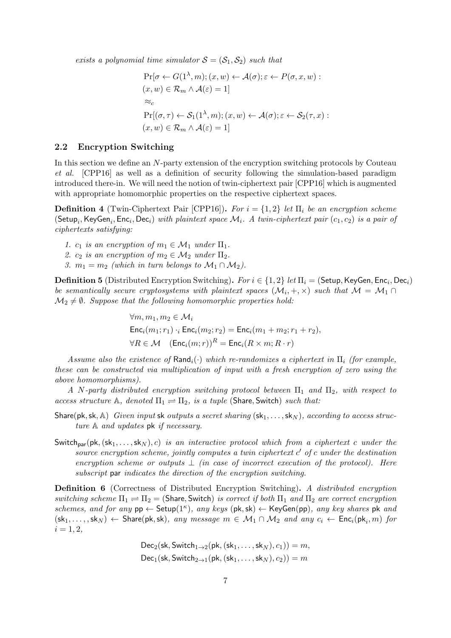exists a polynomial time simulator  $S = (S_1, S_2)$  such that

$$
\Pr[\sigma \leftarrow G(1^{\lambda}, m); (x, w) \leftarrow \mathcal{A}(\sigma); \varepsilon \leftarrow P(\sigma, x, w) :(x, w) \in \mathcal{R}_m \wedge \mathcal{A}(\varepsilon) = 1]\approx_c\Pr[(\sigma, \tau) \leftarrow \mathcal{S}_1(1^{\lambda}, m); (x, w) \leftarrow \mathcal{A}(\sigma); \varepsilon \leftarrow \mathcal{S}_2(\tau, x) :(x, w) \in \mathcal{R}_m \wedge \mathcal{A}(\varepsilon) = 1]
$$

### 2.2 Encryption Switching

In this section we define an N-party extension of the encryption switching protocols by Couteau et al. [CPP16] as well as a definition of security following the simulation-based paradigm introduced there-in. We will need the notion of twin-ciphertext pair [CPP16] which is augmented with appropriate homomorphic properties on the respective ciphertext spaces.

**Definition 4** (Twin-Ciphertext Pair [CPP16]). For  $i = \{1, 2\}$  let  $\Pi_i$  be an encryption scheme  $(\mathsf{Setup}_i, \mathsf{KeyGen}_i, \mathsf{Enc}_i, \mathsf{Dec}_i)$  with plaintext space  $\mathcal{M}_i$ . A twin-ciphertext pair  $(c_1, c_2)$  is a pair of ciphertexts satisfying:

1.  $c_1$  is an encryption of  $m_1 \in \mathcal{M}_1$  under  $\Pi_1$ .

- 2.  $c_2$  is an encryption of  $m_2 \in \mathcal{M}_2$  under  $\Pi_2$ .
- 3.  $m_1 = m_2$  (which in turn belongs to  $\mathcal{M}_1 \cap \mathcal{M}_2$ ).

**Definition 5** (Distributed Encryption Switching). For  $i \in \{1,2\}$  let  $\Pi_i =$  (Setup, KeyGen, Enc<sub>i</sub>, Dec<sub>i</sub>) be semantically secure cryptosystems with plaintext spaces  $(\mathcal{M}_i, +, \times)$  such that  $\mathcal{M} = \mathcal{M}_1 \cap$  $\mathcal{M}_2 \neq \emptyset$ . Suppose that the following homomorphic properties hold:

> $\forall m, m_1, m_2 \in \mathcal{M}_i$  $Enc<sub>i</sub>(m<sub>1</sub>; r<sub>1</sub>) \cdot_{i} Enc<sub>i</sub>(m<sub>2</sub>; r<sub>2</sub>) = Enc<sub>i</sub>(m<sub>1</sub> + m<sub>2</sub>; r<sub>1</sub> + r<sub>2</sub>),$  $\forall R \in \mathcal{M}$  (Enc<sub>i</sub> $(m; r)$ )<sup>R</sup> = Enc<sub>i</sub> $(R \times m; R \cdot r)$

Assume also the existence of  $\text{Rand}_i(\cdot)$  which re-randomizes a ciphertext in  $\Pi_i$  (for example, these can be constructed via multiplication of input with a fresh encryption of zero using the above homomorphisms).

A N-party distributed encryption switching protocol between  $\Pi_1$  and  $\Pi_2$ , with respect to access structure A, denoted  $\Pi_1 \rightleftharpoons \Pi_2$ , is a tuple (Share, Switch) such that:

- Share(pk, sk, A) Given input sk outputs a secret sharing  $(\mathsf{sk}_1, \ldots, \mathsf{sk}_N)$ , according to access structure A and updates pk if necessary.
- Switch<sub>par</sub>(pk,  $(\text{sk}_1, \ldots, \text{sk}_N)$ , c) is an interactive protocol which from a ciphertext c under the source encryption scheme, jointly computes a twin ciphertext  $c'$  of c under the destination encryption scheme or outputs  $\perp$  (in case of incorrect execution of the protocol). Here subscript par indicates the direction of the encryption switching.

Definition 6 (Correctness of Distributed Encryption Switching). A distributed encryption switching scheme  $\Pi_1 \rightleftharpoons \Pi_2 =$  (Share, Switch) is correct if both  $\Pi_1$  and  $\Pi_2$  are correct encryption schemes, and for any  $pp \leftarrow$  Setup(1<sup>k</sup>), any keys (pk, sk)  $\leftarrow$  KeyGen(pp), any key shares pk and  $(\mathsf{sk}_1,\ldots,\mathsf{sk}_N) \leftarrow \mathsf{Share}(\mathsf{pk},\mathsf{sk})$ , any message  $m \in \mathcal{M}_1 \cap \mathcal{M}_2$  and any  $c_i \leftarrow \mathsf{Enc}_i(\mathsf{pk}_i,m)$  for  $i = 1, 2,$ 

> $Dec_2(\mathsf{sk}, \mathsf{Switch}_{1\rightarrow 2}(\mathsf{pk}, (\mathsf{sk}_1, \ldots, \mathsf{sk}_N), c_1)) = m,$  $Dec_1(\textsf{sk}, \textsf{Switch}_{2\rightarrow 1}(\textsf{pk}, (\textsf{sk}_1, \ldots, \textsf{sk}_N), c_2)) = m$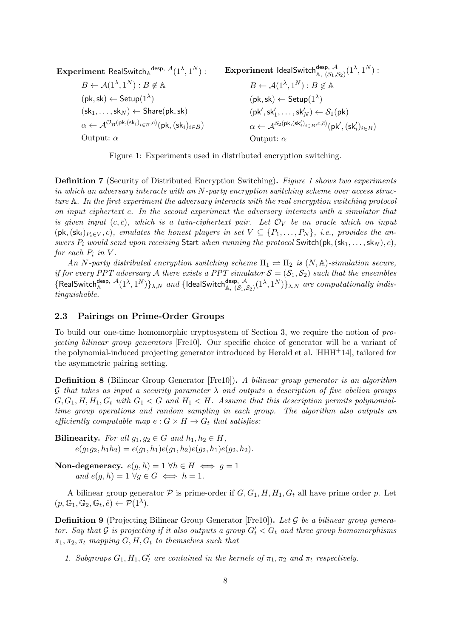Experiment RealSwitch  $\mathbb{A}^{\mathsf{desp},\;\mathcal{A}}(1^\lambda,1^N)$  :  $B \leftarrow \mathcal{A}(1^{\lambda}, 1^N) : B \notin \mathbb{A}$  $(\mathsf{pk},\mathsf{sk}) \leftarrow \mathsf{Setup}(1^{\lambda})$  $(\mathsf{sk}_1, \ldots, \mathsf{sk}_N) \leftarrow \mathsf{Share}(\mathsf{pk},\mathsf{sk})$  $\alpha \leftarrow \mathcal{A}^{\mathcal{O}_{\overline{B}}(\mathsf{pk},(\mathsf{sk}_i)_{i \in \overline{B}},c)}(\mathsf{pk},(\mathsf{sk}_i)_{i \in B})$ Output:  $\alpha$  $\textbf{Experiment}$  IdealSwitch $\textsf{d}^{\textsf{desp},\;\mathcal{A}}_{\mathbb{A},\;(\mathcal{S}_1,\mathcal{S}_2)}(1^\lambda,1^N)$  :  $B \leftarrow \mathcal{A}(1^{\lambda}, 1^N) : B \notin \mathbb{A}$  $(\mathsf{pk},\mathsf{sk}) \leftarrow \mathsf{Setup}(1^{\lambda})$  $(\mathsf{pk}',\mathsf{sk}'_1,\ldots,\mathsf{sk}'_N) \leftarrow \mathcal{S}_1(\mathsf{pk})$  $\alpha \leftarrow \mathcal{A}^{\mathcal{S}_2(\mathsf{pk},(\mathsf{sk}'_i)_{i \in \overline{B}},c,\overline{c})}(\mathsf{pk}',(\mathsf{sk}'_i)_{i \in B})$ Output:  $\alpha$ 

Figure 1: Experiments used in distributed encryption switching.

Definition 7 (Security of Distributed Encryption Switching). Figure 1 shows two experiments in which an adversary interacts with an N-party encryption switching scheme over access structure A. In the first experiment the adversary interacts with the real encryption switching protocol on input ciphertext c. In the second experiment the adversary interacts with a simulator that is given input  $(c, \overline{c})$ , which is a twin-ciphertext pair. Let  $\mathcal{O}_V$  be an oracle which on input  $(pk, (sk_i)_{P_i \in V}, c)$ , emulates the honest players in set  $V \subseteq \{P_1, \ldots, P_N\}$ , i.e., provides the answers  $P_i$  would send upon receiving Start when running the protocol Switch(pk,  $(\textsf{sk}_1, \ldots, \textsf{sk}_N), c)$ , for each  $P_i$  in V.

An N-party distributed encryption switching scheme  $\Pi_1 \rightleftharpoons \Pi_2$  is  $(N, \mathbb{A})$ -simulation secure, if for every PPT adversary A there exists a PPT simulator  $S = (S_1, S_2)$  such that the ensembles  $\{RealSwitch_{\mathbb{A}}^{desp, \mathcal{A}}(1^{\lambda}, 1^N)\}_{\lambda,N}$  and  $\{IdealSwitch_{\mathbb{A}, (\mathcal{S}_1, \mathcal{S}_2)}^{desp, \mathcal{A}}(1^{\lambda}, 1^N)\}_{\lambda,N}$  are computationally indistinguishable.

### 2.3 Pairings on Prime-Order Groups

To build our one-time homomorphic cryptosystem of Section 3, we require the notion of projecting bilinear group generators [Fre10]. Our specific choice of generator will be a variant of the polynomial-induced projecting generator introduced by Herold et al. [HHH+14], tailored for the asymmetric pairing setting.

Definition 8 (Bilinear Group Generator [Fre10]). A bilinear group generator is an algorithm G that takes as input a security parameter  $\lambda$  and outputs a description of five abelian groups  $G, G_1, H, H_1, G_t$  with  $G_1 < G$  and  $H_1 < H$ . Assume that this description permits polynomialtime group operations and random sampling in each group. The algorithm also outputs an efficiently computable map  $e: G \times H \to G_t$  that satisfies:

Bilinearity. For all  $q_1, q_2 \in G$  and  $h_1, h_2 \in H$ ,  $e(q_1q_2, h_1h_2) = e(q_1, h_1)e(q_1, h_2)e(q_2, h_1)e(q_2, h_2).$ 

Non-degeneracy.  $e(g, h) = 1 \forall h \in H \iff g = 1$ and  $e(a, h) = 1 \ \forall a \in G \iff h = 1$ .

A bilinear group generator  $P$  is prime-order if  $G, G_1, H, H_1, G_t$  all have prime order p. Let  $(p, \mathbb{G}_1, \mathbb{G}_2, \mathbb{G}_t, \hat{e}) \leftarrow \mathcal{P}(1^{\lambda}).$ 

Definition 9 (Projecting Bilinear Group Generator [Fre10]). Let G be a bilinear group generator. Say that G is projecting if it also outputs a group  $G'_{t} < G_{t}$  and three group homomorphisms  $\pi_1, \pi_2, \pi_t$  mapping  $G, H, G_t$  to themselves such that

1. Subgroups  $G_1, H_1, G'_t$  are contained in the kernels of  $\pi_1, \pi_2$  and  $\pi_t$  respectively.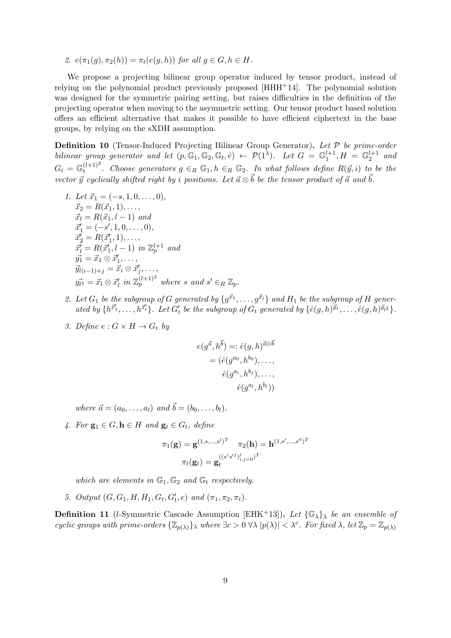2.  $e(\pi_1(g), \pi_2(h)) = \pi_t(e(g, h))$  for all  $g \in G, h \in H$ .

We propose a projecting bilinear group operator induced by tensor product, instead of relying on the polynomial product previously proposed  $[HHH<sup>+</sup>14]$ . The polynomial solution was designed for the symmetric pairing setting, but raises difficulties in the definition of the projecting operator when moving to the asymmetric setting. Our tensor product based solution offers an efficient alternative that makes it possible to have efficient ciphertext in the base groups, by relying on the sXDH assumption.

**Definition 10** (Tensor-Induced Projecting Bilinear Group Generator). Let  $P$  be prime-order bilinear group generator and let  $(p, \mathbb{G}_1, \mathbb{G}_2, \mathbb{G}_t, \hat{e}) \leftarrow \mathcal{P}(1^{\lambda})$ . Let  $G = \mathbb{G}_1^{l+1}, H = \mathbb{G}_2^{l+1}$  and  $G_t = \mathbb{G}_t^{(l+1)^2}$  $t^{(l+1)^2}$ . Choose generators  $g \in_R \mathbb{G}_1, h \in_R \mathbb{G}_2$ . In what follows define  $R(\vec{y}, i)$  to be the vector  $\vec{y}$  cyclically shifted right by i positions. Let  $\vec{a} \otimes \vec{b}$  be the tensor product of  $\vec{a}$  and  $\vec{b}$ .

- 1. Let  $\vec{x}_1 = (-s, 1, 0, \ldots, 0),$  $\vec{x}_2 = R(\vec{x}_1, 1), \ldots,$  $\vec{x}_l = R(\vec{x}_1, l - 1)$  and  $\vec{x}'_1 = (-s', 1, 0, \ldots, 0),$  $\vec{x}'_2 = R(\vec{x}'_1, 1), \ldots,$  $\vec{x}_l = R(\vec{x}_1', l-1)$  in  $\mathbb{Z}_p^{l+1}$  and  $\vec{y_1} = \vec{x}_1 \otimes \vec{x}'_1, \ldots,$  $\vec{y}_{l(i-1)+j} = \vec{x}_i \otimes \vec{x}'_j, \ldots,$  $y_{l^2}^{\dagger} = \vec{x}_l \otimes \vec{x}'_l$  in  $\mathbb{Z}_p^{(l+1)^2}$  where s and  $s' \in_R \mathbb{Z}_p$ .
- 2. Let  $G_1$  be the subgroup of G generated by  $\{g^{\vec{x}_1}, \ldots, g^{\vec{x}_l}\}$  and  $H_1$  be the subgroup of H generated by  $\{h^{\vec{x}_1'}, \ldots, h^{\vec{x}_l'}\}$ . Let  $G'_t$  be the subgroup of  $G_t$  generated by  $\{\hat{e}(g, h)^{\vec{y}_1}, \ldots, \hat{e}(g, h)^{\vec{y}_l^2}\}$ .
- 3. Define  $e: G \times H \rightarrow G_t$  by

$$
e(g^{\vec{a}}, h^{\vec{b}}) =: \hat{e}(g, h)^{\vec{a} \otimes \vec{b}} = (\hat{e}(g^{a_0}, h^{b_0}), \dots, \hat{e}(g^{a_i}, h^{b_j}), \dots, \hat{e}(g^{a_l}, h^{b_l}))
$$

where  $\vec{a} = (a_0, \ldots, a_l)$  and  $\vec{b} = (b_0, \ldots, b_l)$ .

4. For  $\mathbf{g}_1 \in G$ ,  $\mathbf{h} \in H$  and  $\mathbf{g}_t \in G_t$ , define

$$
\pi_1(\mathbf{g}) = \mathbf{g}^{(1,s,\dots,s^l)^T} \quad \pi_2(\mathbf{h}) = \mathbf{h}^{(1,s',\dots,s^{\prime l})^T}
$$

$$
\pi_t(\mathbf{g}_t) = \mathbf{g}_t^{((s^is^{tj})_{i,j=0}^l)^T}
$$

which are elements in  $\mathbb{G}_1$ ,  $\mathbb{G}_2$  and  $\mathbb{G}_t$  respectively.

5. Output  $(G, G_1, H, H_1, G_t, G'_t, e)$  and  $(\pi_1, \pi_2, \pi_t)$ .

**Definition 11** (l-Symmetric Cascade Assumption [EHK<sup>+</sup>13]). Let  $\{\mathbb{G}_{\lambda}\}\$  be an ensemble of cyclic groups with prime-orders  $\{\mathbb{Z}_{p(\lambda)}\}\lambda$  where  $\exists c > 0$   $\forall \lambda |p(\lambda)| < \lambda^c$ . For fixed  $\lambda$ , let  $\mathbb{Z}_p = \mathbb{Z}_{p(\lambda)}$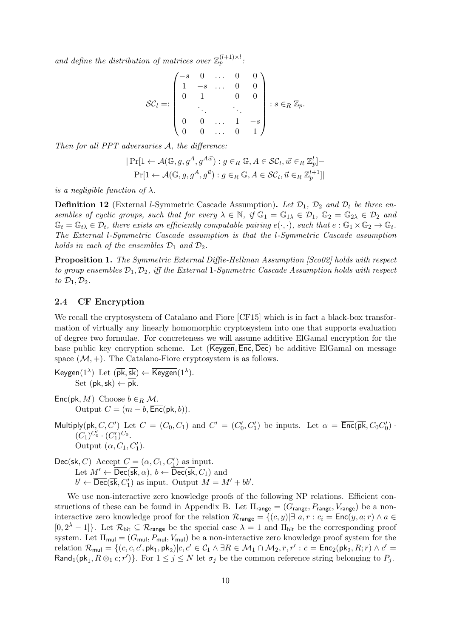and define the distribution of matrices over  $\mathbb{Z}_p^{(l+1)\times l}$ .

$$
\mathcal{SC}_l =: \begin{pmatrix} -s & 0 & \dots & 0 & 0 \\ 1 & -s & \dots & 0 & 0 \\ 0 & 1 & & 0 & 0 \\ & & \ddots & & \ddots & \\ 0 & 0 & \dots & 1 & -s \\ 0 & 0 & \dots & 0 & 1 \end{pmatrix} : s \in_R \mathbb{Z}_p.
$$

Then for all PPT adversaries A, the difference:

$$
|\Pr[1 \leftarrow \mathcal{A}(\mathbb{G}, g, g^A, g^{A\vec{w}}) : g \in_R \mathbb{G}, A \in \mathcal{SC}_l, \vec{w} \in_R \mathbb{Z}_p^l] -
$$
  

$$
|\Pr[1 \leftarrow \mathcal{A}(\mathbb{G}, g, g^A, g^{\vec{u}}) : g \in_R \mathbb{G}, A \in \mathcal{SC}_l, \vec{u} \in_R \mathbb{Z}_p^{l+1}]|
$$

is a negligible function of  $\lambda$ .

**Definition 12** (External *l*-Symmetric Cascade Assumption). Let  $\mathcal{D}_1$ ,  $\mathcal{D}_2$  and  $\mathcal{D}_t$  be three ensembles of cyclic groups, such that for every  $\lambda \in \mathbb{N}$ , if  $\mathbb{G}_1 = \mathbb{G}_{1\lambda} \in \mathcal{D}_1$ ,  $\mathbb{G}_2 = \mathbb{G}_{2\lambda} \in \mathcal{D}_2$  and  $\mathbb{G}_t = \mathbb{G}_{t\lambda} \in \mathcal{D}_t$ , there exists an efficiently computable pairing  $e(\cdot, \cdot)$ , such that  $e : \mathbb{G}_1 \times \mathbb{G}_2 \to \mathbb{G}_t$ . The External l-Symmetric Cascade assumption is that the l-Symmetric Cascade assumption holds in each of the ensembles  $\mathcal{D}_1$  and  $\mathcal{D}_2$ .

Proposition 1. The Symmetric External Diffie-Hellman Assumption [Sco02] holds with respect to group ensembles  $\mathcal{D}_1, \mathcal{D}_2$ , iff the External 1-Symmetric Cascade Assumption holds with respect to  $\mathcal{D}_1, \mathcal{D}_2$ .

### 2.4 CF Encryption

We recall the cryptosystem of Catalano and Fiore [CF15] which is in fact a black-box transformation of virtually any linearly homomorphic cryptosystem into one that supports evaluation of degree two formulae. For concreteness we will assume additive ElGamal encryption for the base public key encryption scheme. Let (Keygen, Enc, Dec) be additive ElGamal on message space  $(M, +)$ . The Catalano-Fiore cryptosystem is as follows.

Keygen( $1^{\lambda}$ ) Let  $(\overline{pk}, \overline{sk}) \leftarrow \overline{Keygen}(1^{\lambda}).$ Set  $(\mathsf{pk},\mathsf{sk}) \leftarrow \overline{\mathsf{pk}}$ .

Enc(pk, M) Choose  $b \in_R \mathcal{M}$ . Output  $C = (m - b, \overline{Enc}(\mathsf{pk}, b)).$ 

Multiply(pk, C, C') Let  $C = (C_0, C_1)$  and  $C' = (C'_0, C'_1)$  be inputs. Let  $\alpha = \overline{\text{Enc}}(\overline{\text{pk}}, C_0 C'_0)$ .  $(C_1)^{C'_0} \cdot (C'_1)^{C_0}.$ Output  $(\alpha, C_1, C'_1)$ .

$$
\begin{array}{l}\n\textsf{Dec}(\textsf{sk}, C) \text{ Accept } C = (\alpha, C_1, C'_1) \text{ as input.} \\
\text{Let } M' \leftarrow \overline{\textsf{Dec}}(\overline{\textsf{sk}}, \alpha), \, b \leftarrow \overline{\textsf{Dec}}(\overline{\textsf{sk}}, C_1) \text{ and } \\
b' \leftarrow \overline{\textsf{Dec}}(\overline{\textsf{sk}}, C'_1) \text{ as input. Output } M = M' + bb'\n\end{array}
$$

We use non-interactive zero knowledge proofs of the following NP relations. Efficient constructions of these can be found in Appendix B. Let  $\Pi_{\text{range}} = (G_{\text{range}}, P_{\text{range}}, V_{\text{range}})$  be a noninteractive zero knowledge proof for the relation  $\mathcal{R}_{\text{range}} = \{(c, y) | \exists a, r : c_i = \text{Enc}(y, a; r) \land a \in$  $[0, 2^{\lambda} - 1]$ . Let  $\mathcal{R}_{\text{bit}} \subseteq \mathcal{R}_{\text{range}}$  be the special case  $\lambda = 1$  and  $\Pi_{\text{bit}}$  be the corresponding proof system. Let  $\Pi_{\text{mul}} = (G_{\text{mul}}, P_{\text{mul}}, V_{\text{mul}})$  be a non-interactive zero knowledge proof system for the relation  $\mathcal{R}_{\mathsf{mul}} = \{(c, \overline{c}, c', \mathsf{pk}_1, \mathsf{pk}_2) | c, c' \in \mathcal{C}_1 \land \exists R \in \mathcal{M}_1 \cap \mathcal{M}_2, \overline{r}, r' : \overline{c} = \mathsf{Enc}_2(\mathsf{pk}_2, R; \overline{r}) \land c' = \overline{c} \}$ Rand<sub>1</sub>( $pk_1, R \otimes_1 c; r'$ )}. For  $1 \leq j \leq N$  let  $\sigma_j$  be the common reference string belonging to  $P_j$ .

.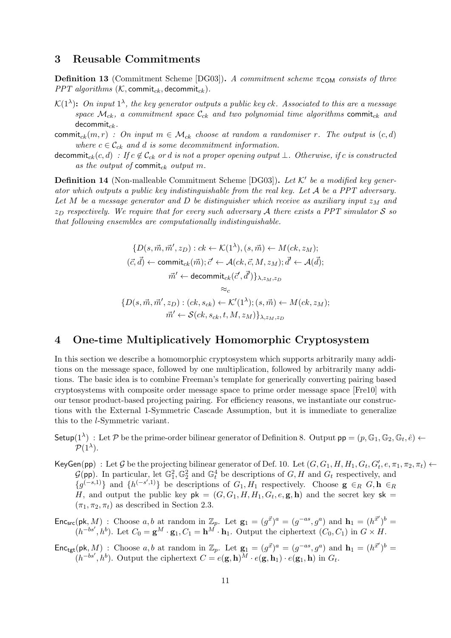### 3 Reusable Commitments

**Definition 13** (Commitment Scheme [DG03]). A commitment scheme  $\pi_{COM}$  consists of three PPT algorithms  $(K,$  commit<sub>ck</sub>, decommit<sub>ck</sub>).

- $\mathcal{K}(1^{\lambda})$ : On input  $1^{\lambda}$ , the key generator outputs a public key ck. Associated to this are a message space  $\mathcal{M}_{ck}$ , a commitment space  $\mathcal{C}_{ck}$  and two polynomial time algorithms commit<sub>ck</sub> and decommit $_{ck}$ .
- commit<sub>ck</sub> $(m, r)$ : On input  $m \in \mathcal{M}_{ck}$  choose at random a randomiser r. The output is  $(c, d)$ where  $c \in \mathcal{C}_{ck}$  and d is some decommitment information.
- decommit<sub>ck</sub> $(c, d)$ : If  $c \notin \mathcal{C}_{ck}$  or d is not a proper opening output  $\bot$ . Otherwise, if c is constructed as the output of commit<sub>ck</sub> output m.

**Definition 14** (Non-malleable Commitment Scheme [DG03]). Let  $K'$  be a modified key generator which outputs a public key indistinguishable from the real key. Let  $A$  be a PPT adversary. Let M be a message generator and D be distinguisher which receive as auxiliary input  $z_M$  and  $z_D$  respectively. We require that for every such adversary A there exists a PPT simulator S so that following ensembles are computationally indistinguishable.

$$
\{D(s, \vec{m}, \vec{m}', z_D) : ck \leftarrow \mathcal{K}(1^{\lambda}), (s, \vec{m}) \leftarrow M(ck, z_M);
$$
  

$$
(\vec{c}, \vec{d}) \leftarrow \text{commit}_{ck}(\vec{m}); \vec{c}' \leftarrow \mathcal{A}(ck, \vec{c}, M, z_M); \vec{d}' \leftarrow \mathcal{A}(\vec{d});
$$
  

$$
\vec{m}' \leftarrow \text{decommit}_{ck}(\vec{c}', \vec{d}')\}_{\lambda, z_M, z_D}
$$
  

$$
\approx_c
$$
  

$$
\{D(s, \vec{m}, \vec{m}', z_D) : (ck, s_{ck}) \leftarrow \mathcal{K}'(1^{\lambda}); (s, \vec{m}) \leftarrow M(ck, z_M);
$$
  

$$
\vec{m}' \leftarrow \mathcal{S}(ck, s_{ck}, t, M, z_M)\}_{\lambda, z_M, z_D}
$$

### 4 One-time Multiplicatively Homomorphic Cryptosystem

In this section we describe a homomorphic cryptosystem which supports arbitrarily many additions on the message space, followed by one multiplication, followed by arbitrarily many additions. The basic idea is to combine Freeman's template for generically converting pairing based cryptosystems with composite order message space to prime order message space [Fre10] with our tensor product-based projecting pairing. For efficiency reasons, we instantiate our constructions with the External 1-Symmetric Cascade Assumption, but it is immediate to generalize this to the l-Symmetric variant.

- Setup( $1^{\lambda}$ ) : Let P be the prime-order bilinear generator of Definition 8. Output  $pp = (p, \mathbb{G}_1, \mathbb{G}_2, \mathbb{G}_t, \hat{e}) \leftarrow$  $\mathcal{P}(1^{\lambda}).$
- $\mathsf{KeyGen}(\mathsf{pp})$ : Let  $\mathcal G$  be the projecting bilinear generator of Def. 10. Let  $(G, G_1, H, H_1, G_t, G'_t, e, \pi_1, \pi_2, \pi_t) \leftarrow$  $\mathcal{G}(\mathsf{pp})$ . In particular, let  $\mathbb{G}_1^2, \mathbb{G}_2^2$  and  $\mathbb{G}_t^4$  be descriptions of  $G, H$  and  $G_t$  respectively, and  ${g}^{(-s,1)}$  and  ${h}^{(-s',1)}$  be descriptions of  $G_1, H_1$  respectively. Choose  $\mathbf{g} \in_R G$ ,  $\mathbf{h} \in_R G$ H, and output the public key  $pk = (G, G_1, H, H_1, G_t, e, g, h)$  and the secret key sk =  $(\pi_1, \pi_2, \pi_t)$  as described in Section 2.3.
- $\mathsf{Enc}_{src}(\mathsf{pk}, M)$ : Choose a, b at random in  $\mathbb{Z}_p$ . Let  $\mathbf{g}_1 = (g^{\vec{x}})^a = (g^{-as}, g^a)$  and  $\mathbf{h}_1 = (h^{\vec{x}})^b =$  $(h^{-bs'}, h^b)$ . Let  $C_0 = \mathbf{g}^M \cdot \mathbf{g}_1, C_1 = \mathbf{h}^M \cdot \mathbf{h}_1$ . Output the ciphertext  $(C_0, C_1)$  in  $G \times H$ .
- $\mathsf{Enc}_{\mathsf{tgt}}(\mathsf{pk}, M)$ : Choose a, b at random in  $\mathbb{Z}_p$ . Let  $\mathbf{g}_1 = (g^{\vec{x}})^a = (g^{-as}, g^a)$  and  $\mathbf{h}_1 = (h^{\vec{x}^{\prime}})^b =$  $(h^{-bs'}, h^b)$ . Output the ciphertext  $C = e(g, h)^M \cdot e(g, h_1) \cdot e(g_1, h)$  in  $G_t$ .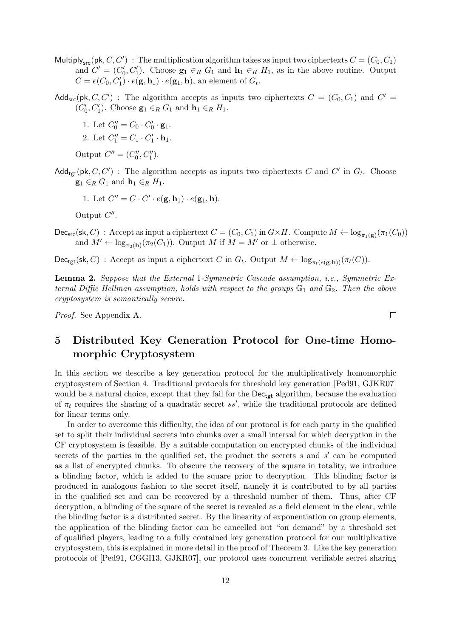- Multiply<sub>src</sub>(pk, C, C') : The multiplication algorithm takes as input two ciphertexts  $C = (C_0, C_1)$ and  $C' = (C'_0, C'_1)$ . Choose  $\mathbf{g}_1 \in_R G_1$  and  $\mathbf{h}_1 \in_R H_1$ , as in the above routine. Output  $C = e(C_0, C'_1) \cdot e(\mathbf{g}, \mathbf{h}_1) \cdot e(\mathbf{g}_1, \mathbf{h}),$  an element of  $G_t$ .
- Add<sub>src</sub>(pk, C, C'): The algorithm accepts as inputs two ciphertexts  $C = (C_0, C_1)$  and  $C' =$  $(C'_0, C'_1)$ . Choose  $\mathbf{g}_1 \in_R G_1$  and  $\mathbf{h}_1 \in_R H_1$ .
	- 1. Let  $C_0'' = C_0 \cdot C_0' \cdot \mathbf{g}_1$ .
	- 2. Let  $C_1'' = C_1 \cdot C_1' \cdot \mathbf{h}_1$ .

Output  $C'' = (C_0'', C_1'').$ 

Add<sub>tgt</sub>(pk, C, C') : The algorithm accepts as inputs two ciphertexts C and C' in  $G_t$ . Choose  $\mathbf{g}_1 \in_R G_1$  and  $\mathbf{h}_1 \in_R H_1$ .

1. Let  $C'' = C \cdot C' \cdot e(\mathbf{g}, \mathbf{h}_1) \cdot e(\mathbf{g}_1, \mathbf{h}).$ 

Output  $C''$ .

 $\mathsf{Dec}_{\mathsf{src}}(\mathsf{sk}, C)$ : Accept as input a ciphertext  $C = (C_0, C_1)$  in  $G \times H$ . Compute  $M \leftarrow \log_{\pi_1(\mathbf{g})}(\pi_1(C_0))$ and  $M' \leftarrow \log_{\pi_2(h)}(\pi_2(C_1))$ . Output M if  $M = M'$  or  $\perp$  otherwise.

 $\mathsf{Dec}_{\mathsf{tgt}}(\mathsf{sk}, C)$ : Accept as input a ciphertext C in  $G_t$ . Output  $M \leftarrow \log_{\pi_t(e(\mathbf{g}, \mathbf{h}))}(\pi_t(C))$ .

Lemma 2. Suppose that the External 1-Symmetric Cascade assumption, i.e., Symmetric External Diffie Hellman assumption, holds with respect to the groups  $\mathbb{G}_1$  and  $\mathbb{G}_2$ . Then the above cryptosystem is semantically secure.

Proof. See Appendix A.

# 5 Distributed Key Generation Protocol for One-time Homomorphic Cryptosystem

In this section we describe a key generation protocol for the multiplicatively homomorphic cryptosystem of Section 4. Traditional protocols for threshold key generation [Ped91, GJKR07] would be a natural choice, except that they fail for the Dec<sub>tgt</sub> algorithm, because the evaluation of  $\pi_t$  requires the sharing of a quadratic secret ss', while the traditional protocols are defined for linear terms only.

In order to overcome this difficulty, the idea of our protocol is for each party in the qualified set to split their individual secrets into chunks over a small interval for which decryption in the CF cryptosystem is feasible. By a suitable computation on encrypted chunks of the individual secrets of the parties in the qualified set, the product the secrets  $s$  and  $s'$  can be computed as a list of encrypted chunks. To obscure the recovery of the square in totality, we introduce a blinding factor, which is added to the square prior to decryption. This blinding factor is produced in analogous fashion to the secret itself, namely it is contributed to by all parties in the qualified set and can be recovered by a threshold number of them. Thus, after CF decryption, a blinding of the square of the secret is revealed as a field element in the clear, while the blinding factor is a distributed secret. By the linearity of exponentiation on group elements, the application of the blinding factor can be cancelled out "on demand" by a threshold set of qualified players, leading to a fully contained key generation protocol for our multiplicative cryptosystem, this is explained in more detail in the proof of Theorem 3. Like the key generation protocols of [Ped91, CGGI13, GJKR07], our protocol uses concurrent verifiable secret sharing

 $\Box$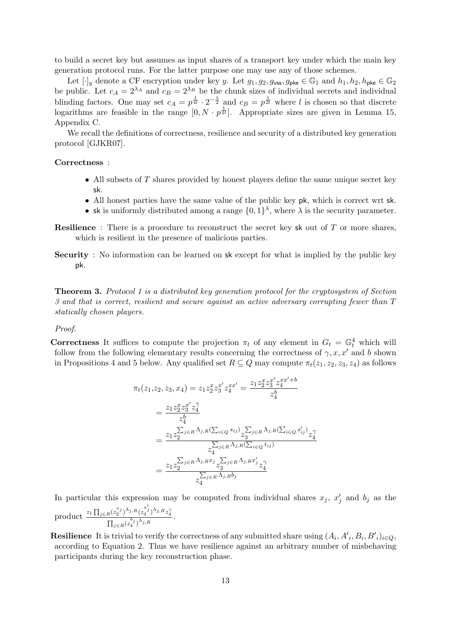to build a secret key but assumes as input shares of a transport key under which the main key generation protocol runs. For the latter purpose one may use any of those schemes.

Let  $[\cdot]_y$  denote a CF encryption under key y. Let  $g_1, g_2, g_{\text{vss}}, g_{\text{pke}} \in \mathbb{G}_1$  and  $h_1, h_2, h_{\text{pke}} \in \mathbb{G}_2$ be public. Let  $c_A = 2^{\lambda_A}$  and  $c_B = 2^{\lambda_B}$  be the chunk sizes of individual secrets and individual blinding factors. One may set  $c_A = p^{\frac{1}{4l}} \cdot 2^{-\frac{\lambda}{2}}$  and  $c_B = p^{\frac{1}{2l}}$  where l is chosen so that discrete logarithms are feasible in the range  $[0, N \cdot p^{\frac{1}{2l}}]$ . Appropriate sizes are given in Lemma 15, Appendix C.

We recall the definitions of correctness, resilience and security of a distributed key generation protocol [GJKR07].

### Correctness :

- All subsets of  $T$  shares provided by honest players define the same unique secret key sk.
- All honest parties have the same value of the public key pk, which is correct wrt sk.
- sk is uniformly distributed among a range  $\{0,1\}^{\lambda}$ , where  $\lambda$  is the security parameter.
- Resilience : There is a procedure to reconstruct the secret key sk out of T or more shares, which is resilient in the presence of malicious parties.
- Security : No information can be learned on sk except for what is implied by the public key pk.

Theorem 3. Protocol 1 is a distributed key generation protocol for the cryptosystem of Section 3 and that is correct, resilient and secure against an active adversary corrupting fewer than T statically chosen players.

#### Proof.

**Correctness** It suffices to compute the projection  $\pi_t$  of any element in  $G_t = \mathbb{G}_t^4$  which will follow from the following elementary results concerning the correctness of  $\gamma, x, x'$  and b shown in Propositions 4 and 5 below. Any qualified set  $R \subseteq Q$  may compute  $\pi_t(z_1, z_2, z_3, z_4)$  as follows

$$
\pi_t(z_1, z_2, z_3, x_4) = z_1 z_2^x z_3^{x'} z_4^{xx'} = \frac{z_1 z_2^x z_3^{x'} z_4^{xx' + b}}{z_4^b}
$$
  
\n
$$
= \frac{z_1 z_2^x z_3^{x'} z_4^{\gamma}}{z_4^b}
$$
  
\n
$$
= \frac{z_1 z_2^{\sum_{j \in R} \Lambda_{j,R}(\sum_{i \in Q} s_{ij})} z_3^{\sum_{j \in R} \Lambda_{j,R}(\sum_{i \in Q} s_{ij}')} z_4^{\gamma}}{z_4^{\sum_{j \in R} \Lambda_{j,R}(\sum_{i \in Q} t_{ij})}}
$$
  
\n
$$
= \frac{z_1 z_2^{\sum_{j \in R} \Lambda_{j,R} x_j} z_3^{\sum_{j \in R} \Lambda_{j,R} x'_j} z_4^{\gamma}}{z_4^{\sum_{j \in R} \Lambda_{j,R} b_j}}
$$

In particular this expression may be computed from individual shares  $x_j$ ,  $x'_j$  and  $b_j$  as the product  $\frac{z_1 \prod_{j \in R} (z_2^{x_j})^{\Lambda_{j,R}} (z_3^{x'_j})^{\Lambda_{j,R}} z_4^2}{z_1 \prod_{j \in R} (z_3^{x_j})^{\Lambda_{j,R}} z_4^2}$  $\frac{R(z_2^{-})^{s_1} (z_3^{-})^{s_2} (z_4^{-})}{\prod_{j \in R} (z_4^{b_j})^{\Lambda_{j,R}}}$ .

**Resilience** It is trivial to verify the correctness of any submitted share using  $(A_i, A'_i, B_i, B'_i)_{i \in Q}$ , according to Equation 2. Thus we have resilience against an arbitrary number of misbehaving participants during the key reconstruction phase.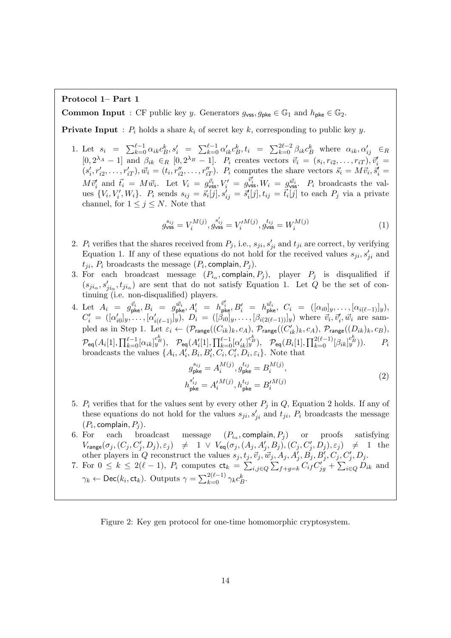#### Protocol 1– Part 1

**Common Input** : CF public key y. Generators  $g_{\text{vss}}, g_{\text{pke}} \in \mathbb{G}_1$  and  $h_{\text{pke}} \in \mathbb{G}_2$ .

**Private Input** :  $P_i$  holds a share  $k_i$  of secret key k, corresponding to public key y.

1. Let  $s_i = \sum_{k=0}^{\ell-1} \alpha_{ik} c_B^k$ ,  $s'_i = \sum_{k=0}^{\ell-1} \alpha'_{ik} c_B^k$ ,  $t_i = \sum_{k=0}^{2\ell-2} \beta_{ik} c_B^k$  where  $\alpha_{ik}, \alpha'_{ij} \in R$  $[0, 2^{\lambda_A} - 1]$  and  $\beta_{ik} \in_R [0, 2^{\lambda_B} - 1]$ .  $P_i$  creates vectors  $\vec{v}_i = (s_i, r_{i2}, \dots, r_{iT}), \vec{v}_i' =$  $(s'_i, r'_{i2}, \ldots, r'_{iT}), \vec{w}_i = (t_i, r''_{i2}, \ldots, r''_{iT}).$  P<sub>i</sub> computes the share vectors  $\vec{s}_i = M\vec{v}_i, \vec{s}'_i =$  $M\vec{v}_i'$  and  $\vec{t}_i = M\vec{w}_i$ . Let  $V_i = g_{\text{vss}}^{\vec{v}_i}$ ,  $V_i' = g_{\text{vss}}^{\vec{v}_i'}$ ,  $W_i = g_{\text{vss}}^{\vec{w}_i}$ .  $P_i$  broadcasts the values  $\{V_i, V'_i, W_i\}$ .  $P_i$  sends  $s_{ij} = \vec{s_i}[j], s'_{ij} = \vec{s'_i}[j], t_{ij} = \vec{t_i}[j]$  to each  $P_j$  via a private channel, for  $1 \leq j \leq N$ . Note that

$$
g_{\text{vss}}^{s_{ij}} = V_i^{M(j)}, g_{\text{vss}}^{s'_{ij}} = V_i^{M(j)}, g_{\text{vss}}^{t_{ij}} = W_i^{M(j)}
$$
(1)

- 2.  $P_i$  verifies that the shares received from  $P_j$ , i.e.,  $s_{ji}, s'_{ji}$  and  $t_{ji}$  are correct, by verifying Equation 1. If any of these equations do not hold for the received values  $s_{ji}, s'_{ji}$  and  $t_{ji}, P_i$  broadcasts the message  $(P_i, \text{complain}, P_j)$ .
- 3. For each broadcast message  $(P_{i_{\alpha}}, \text{complain}, P_j)$ , player  $P_j$  is disqualified if  $(s_{ji_{\alpha}}, s'_{ji_{\alpha}}, t_{ji_{\alpha}})$  are sent that do not satisfy Equation 1. Let Q be the set of continuing (i.e. non-disqualified) players.
- 4. Let  $A_i = g_{\text{pke}}^{\vec{v}_i}, B_i = g_{\text{pke}}^{\vec{w}_i}, A'_i = h_{\text{pke}}^{\vec{v}'_i}, B'_i = h_{\text{pke}}^{\vec{w}_i}, C_i = ([\alpha_{i0}]_y, \ldots, [\alpha_{i(\ell-1)}]_y),$  $C'_i = ([\alpha'_{i0}]_y, \ldots, [\alpha'_{i(\ell-1)}]_y)$ ,  $D_i = ([\beta_{i0}]_y, \ldots, [\beta_{i(2(\ell-1))}]_y)$  where  $\vec{v}_i, \vec{v}'_i, \vec{w}_i$  are sampled as in Step 1. Let  $\varepsilon_i \leftarrow (\mathcal{P}_{\text{range}}((C_{ik})_k, c_A), \mathcal{P}_{\text{range}}((C'_{ik})_k, c_A), \mathcal{P}_{\text{range}}((D_{ik})_k, c_B),$  $\mathcal{P}_{\sf eq}(A_i[1],\prod_{k=0}^{\ell-1}[\alpha_{ik}]^{{c^k_B\choose j}}_y),\quad \mathcal{P}_{\sf eq}(A'_i[1],\prod_{k=0}^{\ell-1}[\alpha'_{ik}]^{{c^k_B\choose j}}_y),\quad \mathcal{P}_{\sf eq}(B_i[1],\prod_{k=0}^{2(\ell-1)}[\beta_{ik}]^{{c^k_B\choose j}}_y)).\qquad P_{\sf eq}(B_i[1],\prod_{k=0}^{2(\ell-1)}[\beta_{ik}]^{{c^k_B\choose j}}_y).$ broadcasts the values  $\{A_i, A'_i, B_i, B'_i, C_i, C'_i, D_i, \varepsilon_i\}$ . Note that

$$
g_{\mathsf{pke}}^{s_{ij}} = A_i^{M(j)}, g_{\mathsf{pke}}^{t_{ij}} = B_i^{M(j)},
$$
  
\n
$$
h_{\mathsf{pke}}^{s'_{ij}} = A_i^{\prime M(j)}, h_{\mathsf{pke}}^{t_{ij}} = B_i^{\prime M(j)}
$$
\n(2)

- 5.  $P_i$  verifies that for the values sent by every other  $P_j$  in  $Q$ , Equation 2 holds. If any of these equations do not hold for the values  $s_{ji}, s'_{ji}$  and  $t_{ji}, P_i$  broadcasts the message  $(P_i, \text{complain}, P_j).$
- 6. For each broadcast message  $(P_{i_{\alpha}},$ complain,  $P_j$ ) or proofs satisfying  $V_{\text{range}}(\sigma_j, (C_j, C'_j, D_j), \varepsilon_j) \quad \neq \quad 1 \; \vee \; V_{\text{eq}}(\sigma_j, (A_j, A'_j, B_j), (C_j, C'_j, D_j), \varepsilon_j) \quad \neq \quad 1 \; \; \text{the}$ other players in Q reconstruct the values  $s_j, t_j, \vec{v}_j, \vec{w}_j, A_j, A'_j, B'_j, B'_j, C_j, C'_j, D_j$ .
- 7. For  $0 \leq k \leq 2(\ell-1)$ ,  $P_i$  computes  $ct_k = \sum_{i,j \in Q} \sum_{f+g=k} C_{if} C'_{jg} + \sum_{i \in Q} D_{ik}$  and  $\gamma_k \leftarrow \mathsf{Dec}(k_i, \mathsf{ct}_k)$ . Outputs  $\gamma = \sum_{k=0}^{2(\ell-1)} \gamma_k c_B^k$ .

Figure 2: Key gen protocol for one-time homomorphic cryptosystem.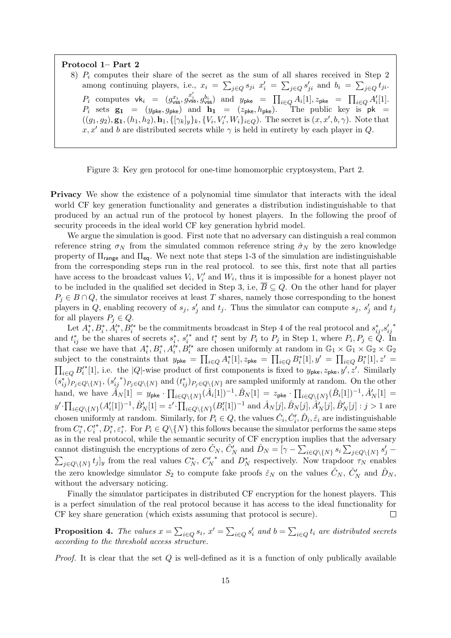Protocol 1– Part 2

8)  $P_i$  computes their share of the secret as the sum of all shares received in Step 2 among continuing players, i.e.,  $x_i = \sum_{j \in Q} s_{ji} x'_i = \sum_{j \in Q} s'_{ji}$  and  $b_i = \sum_{j \in Q} t_{ji}$ .  $P_i$  computes  $\mathsf{vk}_i = (g_{\mathsf{vss}}^{x_i}, g_{\mathsf{vss}}^{x_i'}, g_{\mathsf{vss}}^{b_i})$  and  $y_{\mathsf{pke}} = \prod_{i \in Q} A_i[1], z_{\mathsf{pke}} = \prod_{i \in Q} A'_i[1].$  $P_i$  sets  $\mathbf{g_1} = (y_{\mathsf{pke}}, g_{\mathsf{pke}})$  and  $\mathbf{h_1} = (z_{\mathsf{pke}}, h_{\mathsf{pke}})$ . The public key is  $\mathsf{pk} =$  $((g_1, g_2), \mathbf{g_1}, (h_1, h_2), \mathbf{h_1}, \{[\gamma_k]_y\}_k, \{V_i, V_i', W_i\}_{i \in Q})$ . The secret is  $(x, x', b, \gamma)$ . Note that x, x' and b are distributed secrets while  $\gamma$  is held in entirety by each player in Q.

Figure 3: Key gen protocol for one-time homomorphic cryptosystem, Part 2.

Privacy We show the existence of a polynomial time simulator that interacts with the ideal world CF key generation functionality and generates a distribution indistinguishable to that produced by an actual run of the protocol by honest players. In the following the proof of security proceeds in the ideal world CF key generation hybrid model.

We argue the simulation is good. First note that no adversary can distinguish a real common reference string  $\sigma_N$  from the simulated common reference string  $\hat{\sigma}_N$  by the zero knowledge property of  $\Pi_{\text{range}}$  and  $\Pi_{\text{eq}}$ . We next note that steps 1-3 of the simulation are indistinguishable from the corresponding steps run in the real protocol. to see this, first note that all parties have access to the broadcast values  $V_i$ ,  $V'_i$  and  $W_i$ , thus it is impossible for a honest player not to be included in the qualified set decided in Step 3, i.e,  $\overline{B} \subseteq Q$ . On the other hand for player  $P_j \in B \cap Q$ , the simulator receives at least T shares, namely those corresponding to the honest players in Q, enabling recovery of  $s_j$ ,  $s'_j$  and  $t_j$ . Thus the simulator can compute  $s_j$ ,  $s'_j$  and  $t_j$ for all players  $P_i \in Q$ .

Let  $A_i^*, B_i^*, A_i'^*, B_i'^*$  be the commitments broadcast in Step 4 of the real protocol and  $s_{ij}^*, s_{ij}'$ ∗ and  $t_{ij}^*$  be the shares of secrets  $s_i^*$ ,  $s_i'$ \* and  $t_i^*$  sent by  $P_i$  to  $P_j$  in Step 1, where  $P_i, P_j \in \mathcal{Q}$ . In that case we have that  $A_i^*, B_i^*, A_i^{'*}, B_i^{'*}$  are chosen uniformly at random in  $\mathbb{G}_1 \times \mathbb{G}_1 \times \mathbb{G}_2 \times \mathbb{G}_2$ subject to the constraints that  $y_{\mathsf{pke}} = \prod_{i \in Q} A_i^*[1], z_{\mathsf{pke}} = \prod_{i \in Q} B_i^*[1], y' = \prod_{i \in Q} B_i^*[1], z' =$  $\prod_{i\in Q} B_i'$ \*[1], i.e. the |Q|-wise product of first components is fixed to  $y_{\rm pke}, z_{\rm pke}, y', z'$ . Similarly  $(s_{ij}^*)_{P_j \in Q \setminus \{N\}}, (s_{ij}'$ \*) $P_j \in Q \setminus \{N\}$  and  $(t_{ij}^*)_{P_j \in Q \setminus \{N\}}$  are sampled uniformly at random. On the other hand, we have  $\hat{A}_N[1] = y_{\sf pke} \cdot \prod_{i \in Q \setminus \{N\}} (\hat{A}_i[1])^{-1}, \hat{B}_N[1] = z_{\sf pke} \cdot \prod_{i \in Q \setminus \{N\}} (\hat{B}_i[1])^{-1}, \hat{A}'_N[1] = z_{\sf pke} \cdot \prod_{i \in Q \setminus \{N\}} (\hat{B}_i[1])^{-1}$  $y' \cdot \prod_{i \in Q \setminus \{N\}} (A'_i[1])^{-1}, \hat{B}'_N[1] = z' \cdot \prod_{i \in Q \setminus \{N\}} (B'_i[1])^{-1} \text{ and } \hat{A}_N[j], \hat{B}_N[j], \hat{A}'_N[j], \hat{B}'_N[j] : j > 1 \text{ are }$ chosen uniformly at random. Similarly, for  $P_i \in Q$ , the values  $\hat{C}_i, \hat{C}'_i, \hat{D}_i, \hat{\varepsilon}_i$  are indistinguishable from  $C_i^*, C_i'$ \*,  $D_i^*, \varepsilon_i^*$ . For  $P_i \in Q \setminus \{N\}$  this follows because the simulator performs the same steps as in the real protocol, while the semantic security of CF encryption implies that the adversary cannot distinguish the encryptions of zero  $\hat{C}_N$ ,  $\hat{C}'_N$  and  $\hat{D}_N = \begin{bmatrix} \gamma - \sum_{i \in Q \setminus \{N\}} s_i \sum_{j \in Q \setminus \{N\}} s'_j - \end{bmatrix}$  $\sum_{j\in Q\backslash\{N\}}t_j]_y$  from the real values  $C_N^*$ ,  $C_N'$ \* and  $D_N^*$  respectively. Now trapdoor  $\tau_N$  enables the zero knowledge simulator  $S_2$  to compute fake proofs  $\hat{\varepsilon}_N$  on the values  $\hat{C}_N$ ,  $\hat{C}'_N$  and  $\hat{D}_N$ , without the adversary noticing.

Finally the simulator participates in distributed CF encryption for the honest players. This is a perfect simulation of the real protocol because it has access to the ideal functionality for CF key share generation (which exists assuming that protocol is secure).  $\Box$ 

**Proposition 4.** The values  $x = \sum_{i \in Q} s_i$ ,  $x' = \sum_{i \in Q} s'_i$  and  $b = \sum_{i \in Q} t_i$  are distributed secrets according to the threshold access structure.

*Proof.* It is clear that the set  $Q$  is well-defined as it is a function of only publically available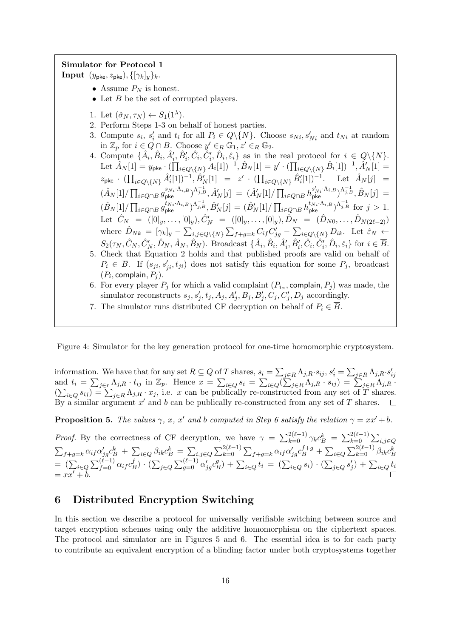### Simulator for Protocol 1

**Input**  $(y_{\text{pke}}, z_{\text{pke}}), \{[\gamma_k]_y\}_k$ .

- Assume  $P_N$  is honest.
- Let  $B$  be the set of corrupted players.
- 1. Let  $(\hat{\sigma}_N, \tau_N) \leftarrow S_1(1^{\lambda}).$
- 2. Perform Steps 1-3 on behalf of honest parties.
- 3. Compute  $s_i$ ,  $s'_i$  and  $t_i$  for all  $P_i \in Q \setminus \{N\}$ . Choose  $s_{Ni}, s'_{Ni}$  and  $t_{Ni}$  at random in  $\mathbb{Z}_p$  for  $i \in Q \cap B$ . Choose  $y' \in_R \mathbb{G}_1, z' \in_R \mathbb{G}_2$ .
- 4. Compute  $\{\hat{A}_i, \hat{B}_i, \hat{A}'_i, \hat{B}'_i, \hat{C}_i, \hat{C}'_i, \hat{D}_i, \hat{\varepsilon}_i\}$  as in the real protocol for  $i \in Q \setminus \{N\}$ .  ${\rm Let\,\,} \hat{A}_N[1]=y_{\sf pke}\cdot (\prod_{i\in Q\backslash\{N\}}A_i[1])^{-1}, \hat{B}_N[1]=y'\cdot (\prod_{i\in Q\backslash\{N\}}\hat{B}_i[1])^{-1}, \hat{A}'_N[1]=$  $z_{\sf pke} \; \cdot \; (\prod_{i \in Q \setminus \{N\}} \hat{A}_i'[1])^{-1}, \hat{B}_N'[1] \;\; = \;\; z' \; \cdot \; (\prod_{i \in Q \setminus \{N\}} \hat{B}_i'[1])^{-1} . \quad \;\; \text{Let} \;\; \hat{A}_N[j] \;\; =$  $(\hat{A}_N[1]/\prod_{i\in Q\cap B}g_{\sf pke}^{s_{Ni}\cdot\Lambda_{i,B}})^{\Lambda_{j,B}^{-1}}, \hat{A}'_N[j] \;=\; (\hat{A}'_N[1]/\prod_{i\in Q\cap B}h_{\sf pke}^{s'_{Ni}\cdot\Lambda_{i,B}})^{\Lambda_{j,B}^{-1}}, \hat{B}_N[j] \;=\;$  $(\hat{B}_N[1]/\prod_{i\in Q\cap B} g_{\sf pke}^{t_{Ni}\cdot\Lambda_{i,B}})^{\Lambda_{j,B}^{-1}}, \hat{B}'_N[j] = (\hat{B}'_N[1]/\prod_{i\in Q\cap B} h_{\sf pke}^{t_{Ni}\cdot\Lambda_{i,B}})^{\Lambda_{j,B}^{-1}}$  for  $j>1$ . Let  $\hat{C}_N = ([0]_y, \ldots, [0]_y), \hat{C}'_N = ([0]_y, \ldots, [0]_y), \hat{D}_N = (\hat{D}_{N0}, \ldots, \hat{D}_{N(2\ell-2)})$ where  $\hat{D}_{Nk} = [\gamma_k]_y - \sum_{i,j \in Q \setminus \{N\}} \sum_{f+g=k} C_{if} C'_{jg} - \sum_{i \in Q \setminus \{N\}} D_{ik}$ . Let  $\hat{\varepsilon}_N \leftarrow$  $S_2(\tau_N, \hat{C}_N, \hat{C}_N', \hat{D}_N, \hat{A}_N, \hat{B}_N)$ . Broadcast  $\{\hat{A}_i, \hat{B}_i, \hat{A}'_i, \hat{B}'_i, \hat{C}_i, \hat{C}_i', \hat{D}_i, \hat{\varepsilon}_i\}$  for  $i \in \overline{B}$ . 5. Check that Equation 2 holds and that published proofs are valid on behalf of
- $P_i \in \overline{B}$ . If  $(s_{ji}, s'_{ji}, t_{ji})$  does not satisfy this equation for some  $P_j$ , broadcast  $(P_i, \text{complain}, P_j).$
- 6. For every player  $P_j$  for which a valid complaint  $(P_{i_{\alpha}},$  complain,  $P_j)$  was made, the simulator reconstructs  $s_j, s'_j, t_j, A_j, A'_j, B_j, B'_j, C_j, C'_j, D_j$  accordingly.
- 7. The simulator runs distributed CF decryption on behalf of  $P_i \in \overline{B}$ .

Figure 4: Simulator for the key generation protocol for one-time homomorphic cryptosystem.

information. We have that for any set  $R \subseteq Q$  of T shares,  $s_i = \sum_{j \in R} \Lambda_{j,R} \cdot s_{ij}$ ,  $s'_i = \sum_{j \in R} \Lambda_{j,R} \cdot s'_{ij}$ and  $t_i = \sum_{j \in r} \Lambda_{j,R} \cdot t_{ij}$  in  $\mathbb{Z}_p$ . Hence  $x = \sum_{i \in Q} s_i = \sum_{i \in Q} (\sum_{j \in R} \Lambda_{j,R} \cdot s_{ij}) = \sum_{j \in R} \Lambda_{j,R} \cdot s_{ij}$  $(\sum_{i\in Q} s_{ij}) = \sum_{j\in R} \Lambda_{j,R} \cdot x_j$ , i.e. x can be publically re-constructed from any set of T shares. By a similar argument  $x'$  and b can be publically re-constructed from any set of T shares.  $\Box$ 

**Proposition 5.** The values  $\gamma$ , x, x' and b computed in Step 6 satisfy the relation  $\gamma = xx' + b$ .

*Proof.* By the correctness of CF decryption, we have  $\gamma = \sum_{k=0}^{2(\ell-1)} \gamma_k c_B^k = \sum_{k=0}^{2(\ell-1)} \sum_{i,j \in Q}$  $\sum_{f+g=k} \alpha_{if} \alpha'_{jg} c^k_B + \sum_{i \in Q} \beta_{ik} c^k_B = \sum_{i,j \in Q} \sum_{k=0}^{2(\ell-1)} \sum_{f+g=k} \alpha_{if} \alpha'_{jg} c^{f+g}_B + \sum_{i \in Q} \sum_{k=0}^{2(\ell-1)} \beta_{ik} c^k_B$  $= (\sum_{i \in Q} \sum_{f=0}^{(\ell-1)} \alpha_{if} c_f^f)$  $\mathcal{L}_{B}^{(f)}$ )  $\cdot$   $(\sum_{j\in Q}\sum_{g=0}^{(\ell-1)}\alpha'_{j g}c^g_{H})$  $\sum_{i \in Q} f_i = (\sum_{i \in Q} s_i) \cdot (\sum_{j \in Q} s'_j) + \sum_{i \in Q} t_i$  $= xx' + b.$ 

# 6 Distributed Encryption Switching

In this section we describe a protocol for universally verifiable switching between source and target encryption schemes using only the additive homomorphism on the ciphertext spaces. The protocol and simulator are in Figures 5 and 6. The essential idea is to for each party to contribute an equivalent encryption of a blinding factor under both cryptosystems together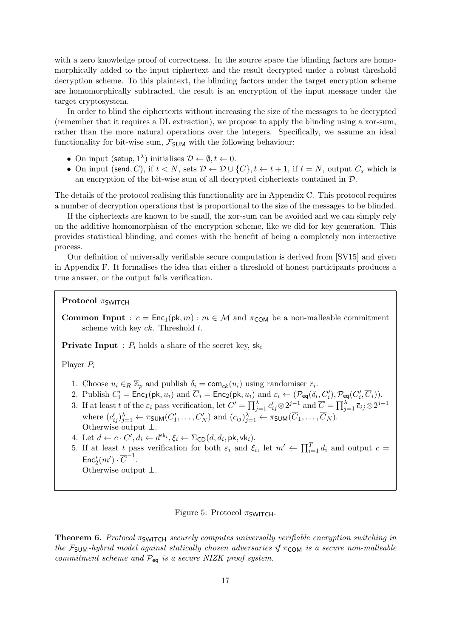with a zero knowledge proof of correctness. In the source space the blinding factors are homomorphically added to the input ciphertext and the result decrypted under a robust threshold decryption scheme. To this plaintext, the blinding factors under the target encryption scheme are homomorphically subtracted, the result is an encryption of the input message under the target cryptosystem.

In order to blind the ciphertexts without increasing the size of the messages to be decrypted (remember that it requires a DL extraction), we propose to apply the blinding using a xor-sum, rather than the more natural operations over the integers. Specifically, we assume an ideal functionality for bit-wise sum,  $\mathcal{F}_{SUM}$  with the following behaviour:

- On input (setup,  $1^{\lambda}$ ) initialises  $\mathcal{D} \leftarrow \emptyset, t \leftarrow 0$ .
- On input (send, C), if  $t < N$ , sets  $D \leftarrow D \cup \{C\}$ ,  $t \leftarrow t + 1$ , if  $t = N$ , output  $C_s$  which is an encryption of the bit-wise sum of all decrypted ciphertexts contained in D.

The details of the protocol realising this functionality are in Appendix C. This protocol requires a number of decryption operations that is proportional to the size of the messages to be blinded.

If the ciphertexts are known to be small, the xor-sum can be avoided and we can simply rely on the additive homomorphism of the encryption scheme, like we did for key generation. This provides statistical blinding, and comes with the benefit of being a completely non interactive process.

Our definition of universally verifiable secure computation is derived from [SV15] and given in Appendix F. It formalises the idea that either a threshold of honest participants produces a true answer, or the output fails verification.

**Protocol**  $\pi$ SWITCH

**Common Input** :  $c = \text{Enc}_1(\text{pk}, m)$ :  $m \in \mathcal{M}$  and  $\pi_{\text{COM}}$  be a non-malleable commitment scheme with key  $ck$ . Threshold  $t$ .

**Private Input** :  $P_i$  holds a share of the secret key,  $sk_i$ 

Player P<sup>i</sup>

- 1. Choose  $u_i \in_R \mathbb{Z}_p$  and publish  $\delta_i = \text{com}_{ck}(u_i)$  using randomiser  $r_i$ .
- 2. Publish  $C_i' = \text{Enc}_1(\text{pk}, u_i)$  and  $\overline{C}_i = \text{Enc}_2(\text{pk}, u_i)$  and  $\varepsilon_i \leftarrow (\mathcal{P}_{\text{eq}}(\delta_i, C_i'), \mathcal{P}_{\text{eq}}(C_i', \overline{C}_i)).$
- 3. If at least t of the  $\varepsilon_i$  pass verification, let  $C' = \prod_{j=1}^{\lambda} c'_{ij} \otimes 2^{j-1}$  and  $\overline{C} = \prod_{j=1}^{\lambda} \overline{c}_{ij} \otimes 2^{j-1}$ where  $(c'_{ij})_{j=1}^{\lambda} \leftarrow \pi_{\text{SUM}}(C'_1, \ldots, C'_N)$  and  $(\bar{c}_{ij})_{j=1}^{\lambda} \leftarrow \pi_{\text{SUM}}(\overline{C}_1, \ldots, \overline{C}_N)$ . Otherwise output ⊥.
- 4. Let  $d \leftarrow c \cdot C', d_i \leftarrow d^{\mathsf{sk}_i}, \xi_i \leftarrow \Sigma_{\mathsf{CD}}(d, d_i, \mathsf{pk}, \mathsf{vk}_i).$
- 5. If at least t pass verification for both  $\varepsilon_i$  and  $\xi_i$ , let  $m' \leftarrow \prod_{i=1}^T d_i$  and output  $\overline{c} =$  $\mathsf{Enc}^*_2(m') \cdot \overline{C}^{-1}.$

Otherwise output ⊥.

### Figure 5: Protocol  $\pi$ SWITCH.

**Theorem 6.** Protocol  $\pi_{\text{SWITCH}}$  securely computes universally verifiable encryption switching in the  $\mathcal{F}_{SUM}$ -hybrid model against statically chosen adversaries if  $\pi_{COM}$  is a secure non-malleable commitment scheme and  $\mathcal{P}_{eq}$  is a secure NIZK proof system.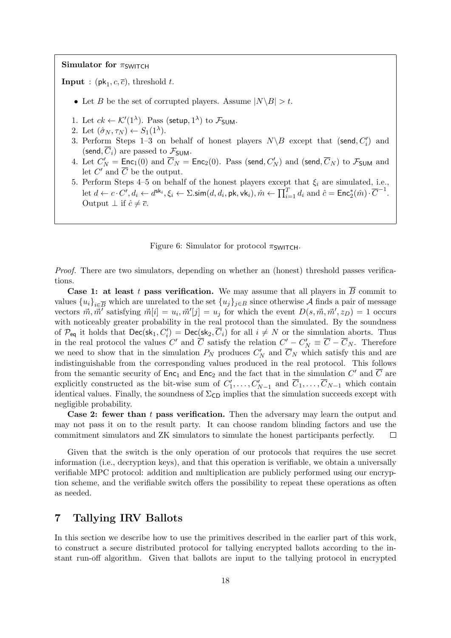### Simulator for  $\pi_{SWITCH}$

**Input** :  $(\mathsf{pk}_1, c, \overline{c})$ , threshold t.

- Let B be the set of corrupted players. Assume  $|N\setminus B| > t$ .
- 1. Let  $ck \leftarrow \mathcal{K}'(1^{\lambda})$ . Pass (setup,  $1^{\lambda}$ ) to  $\mathcal{F}_{\text{SUM}}$ .
- 2. Let  $(\hat{\sigma}_N, \tau_N) \leftarrow S_1(1^{\lambda}).$
- 3. Perform Steps 1-3 on behalf of honest players  $N \ B$  except that (send,  $C_i'$ ) and (send,  $\overline{C}_i$ ) are passed to  $\mathcal{F}_{SUM}$ .
- 4. Let  $C'_N = \text{Enc}_1(0)$  and  $\overline{C}_N = \text{Enc}_2(0)$ . Pass (send,  $C'_N$ ) and (send,  $\overline{C}_N$ ) to  $\mathcal{F}_{\text{SUM}}$  and let  $C'$  and  $\overline{C}$  be the output.
- 5. Perform Steps 4–5 on behalf of the honest players except that  $\xi_i$  are simulated, i.e., let  $d \leftarrow c \cdot C', d_i \leftarrow d^{\mathsf{sk}_i}, \xi_i \leftarrow \Sigma.\mathsf{sim}(d, d_i, \mathsf{pk}, \mathsf{vk}_i), \hat{m} \leftarrow \prod_{i=1}^T d_i \text{ and } \hat{c} = \mathsf{Enc}_2^*(\hat{m}) \cdot \overline{C}^{-1}.$ Output  $\perp$  if  $\hat{c} \neq \overline{c}$ .

Figure 6: Simulator for protocol  $\pi$ SWITCH.

Proof. There are two simulators, depending on whether an (honest) threshold passes verifications.

**Case 1: at least t pass verification.** We may assume that all players in  $\overline{B}$  commit to values  ${u_i}_{i\in\overline{B}}$  which are unrelated to the set  ${u_j}_{j\in B}$  since otherwise A finds a pair of message vectors  $\vec{m}, \vec{m'}$  satisfying  $\vec{m}[i] = u_i, \vec{m}'[j] = u_j$  for which the event  $D(s, \vec{m}, \vec{m}', z_D) = 1$  occurs with noticeably greater probability in the real protocol than the simulated. By the soundness of  $\mathcal{P}_{eq}$  it holds that  $\mathsf{Dec}(\mathsf{sk}_1, C_i') = \mathsf{Dec}(\mathsf{sk}_2, \overline{C}_i)$  for all  $i \neq N$  or the simulation aborts. Thus in the real protocol the values C' and  $\overline{C}$  satisfy the relation  $C'_{\phantom{C}} - C'_{\phantom{C}} = \overline{C} - \overline{C}_N$ . Therefore we need to show that in the simulation  $P_N$  produces  $C'_N$  and  $\overline{C}_N$  which satisfy this and are indistinguishable from the corresponding values produced in the real protocol. This follows from the semantic security of  $Enc_1$  and  $Enc_2$  and the fact that in the simulation  $C'$  and  $\overline{C}$  are explicitly constructed as the bit-wise sum of  $C'_1, \ldots, C'_{N-1}$  and  $\overline{C}_1, \ldots, \overline{C}_{N-1}$  which contain identical values. Finally, the soundness of  $\Sigma_{\textsf{CD}}$  implies that the simulation succeeds except with negligible probability.

**Case 2: fewer than t pass verification.** Then the adversary may learn the output and may not pass it on to the result party. It can choose random blinding factors and use the commitment simulators and ZK simulators to simulate the honest participants perfectly.  $\Box$ 

Given that the switch is the only operation of our protocols that requires the use secret information (i.e., decryption keys), and that this operation is verifiable, we obtain a universally verifiable MPC protocol: addition and multiplication are publicly performed using our encryption scheme, and the verifiable switch offers the possibility to repeat these operations as often as needed.

# 7 Tallying IRV Ballots

In this section we describe how to use the primitives described in the earlier part of this work, to construct a secure distributed protocol for tallying encrypted ballots according to the instant run-off algorithm. Given that ballots are input to the tallying protocol in encrypted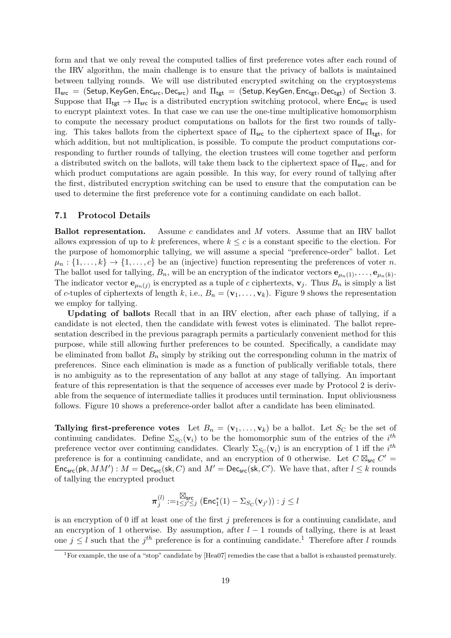form and that we only reveal the computed tallies of first preference votes after each round of the IRV algorithm, the main challenge is to ensure that the privacy of ballots is maintained between tallying rounds. We will use distributed encrypted switching on the cryptosystems  $\Pi_{src}$  = (Setup, KeyGen, Enc<sub>src</sub>, Dec<sub>src</sub>) and  $\Pi_{tgt}$  = (Setup, KeyGen, Enc<sub>tgt</sub>, Dec<sub>tgt</sub>) of Section 3. Suppose that  $\Pi_{\text{tgt}} \to \Pi_{\text{src}}$  is a distributed encryption switching protocol, where  $\text{Enc}_{\text{src}}$  is used to encrypt plaintext votes. In that case we can use the one-time multiplicative homomorphism to compute the necessary product computations on ballots for the first two rounds of tallying. This takes ballots from the ciphertext space of  $\Pi_{src}$  to the ciphertext space of  $\Pi_{tet}$ , for which addition, but not multiplication, is possible. To compute the product computations corresponding to further rounds of tallying, the election trustees will come together and perform a distributed switch on the ballots, will take them back to the ciphertext space of  $\Pi_{src}$ , and for which product computations are again possible. In this way, for every round of tallying after the first, distributed encryption switching can be used to ensure that the computation can be used to determine the first preference vote for a continuing candidate on each ballot.

#### 7.1 Protocol Details

Ballot representation. Assume c candidates and M voters. Assume that an IRV ballot allows expression of up to k preferences, where  $k \leq c$  is a constant specific to the election. For the purpose of homomorphic tallying, we will assume a special "preference-order" ballot. Let  $\mu_n: \{1, \ldots, k\} \to \{1, \ldots, c\}$  be an (injective) function representing the preferences of voter n. The ballot used for tallying,  $B_n$ , will be an encryption of the indicator vectors  $\mathbf{e}_{\mu_n(1)},\ldots,\mathbf{e}_{\mu_n(k)}$ . The indicator vector  $\mathbf{e}_{\mu_n(j)}$  is encrypted as a tuple of c ciphertexts,  $\mathbf{v}_j$ . Thus  $B_n$  is simply a list of c-tuples of ciphertexts of length k, i.e.,  $B_n = (\mathbf{v}_1, \dots, \mathbf{v}_k)$ . Figure 9 shows the representation we employ for tallying.

Updating of ballots Recall that in an IRV election, after each phase of tallying, if a candidate is not elected, then the candidate with fewest votes is eliminated. The ballot representation described in the previous paragraph permits a particularly convenient method for this purpose, while still allowing further preferences to be counted. Specifically, a candidate may be eliminated from ballot  $B_n$  simply by striking out the corresponding column in the matrix of preferences. Since each elimination is made as a function of publically verifiable totals, there is no ambiguity as to the representation of any ballot at any stage of tallying. An important feature of this representation is that the sequence of accesses ever made by Protocol 2 is derivable from the sequence of intermediate tallies it produces until termination. Input obliviousness follows. Figure 10 shows a preference-order ballot after a candidate has been eliminated.

Tallying first-preference votes Let  $B_n = (\mathbf{v}_1, \dots, \mathbf{v}_k)$  be a ballot. Let  $S_c$  be the set of continuing candidates. Define  $\Sigma_{S_{\text{C}}}(\mathbf{v}_i)$  to be the homomorphic sum of the entries of the  $i^{th}$ preference vector over continuing candidates. Clearly  $\Sigma_{S_{\text{C}}}(\mathbf{v}_i)$  is an encryption of 1 iff the  $i^{th}$ preference is for a continuing candidate, and an encryption of 0 otherwise. Let  $C \boxtimes_{\textsf{src}} C' =$  $\mathsf{Enc}_{src}(\mathsf{pk}, MM') : M = \mathsf{Dec}_{src}(\mathsf{sk}, C)$  and  $M' = \mathsf{Dec}_{src}(\mathsf{sk}, C')$ . We have that, after  $l \leq k$  rounds of tallying the encrypted product

$$
\pmb{\pi}^{(l)}_j := \stackrel{\text{ }\boxtimes_{\text{src}}}{\underbrace{\mathbb{K}_{\text{src}}}} (\text{Enc}^*_1(1) - \Sigma_{S_{\text{C}}}(\mathbf{v}_{j'})) : j \leq l
$$

is an encryption of  $0$  iff at least one of the first  $j$  preferences is for a continuing candidate, and an encryption of 1 otherwise. By assumption, after  $l - 1$  rounds of tallying, there is at least one  $j \leq l$  such that the  $j<sup>th</sup>$  preference is for a continuing candidate.<sup>1</sup> Therefore after l rounds

<sup>&</sup>lt;sup>1</sup>For example, the use of a "stop" candidate by [Hea07] remedies the case that a ballot is exhausted prematurely.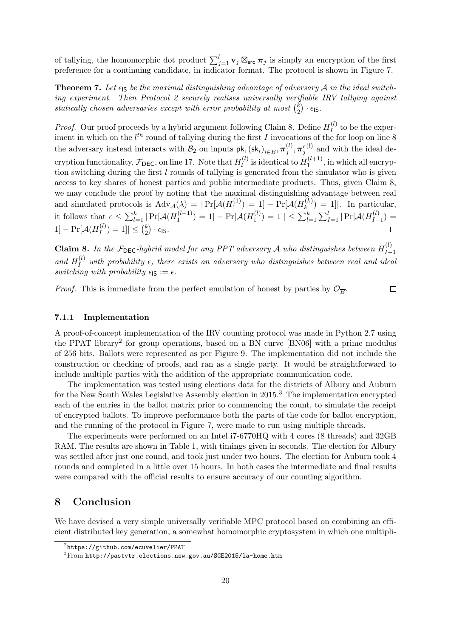of tallying, the homomorphic dot product  $\sum_{j=1}^{l} \mathbf{v}_j \boxtimes_{\text{src}} \pi_j$  is simply an encryption of the first preference for a continuing candidate, in indicator format. The protocol is shown in Figure 7.

**Theorem 7.** Let  $\epsilon$  is be the maximal distinguishing advantage of adversary A in the ideal switching experiment. Then Protocol 2 securely realises universally verifiable IRV tallying against statically chosen adversaries except with error probability at most  $\binom{k}{2}$  $\binom{k}{2} \cdot \epsilon_{\mathsf{IS}}$ .

*Proof.* Our proof proceeds by a hybrid argument following Claim 8. Define  $H_I^{(l)}$  $I_I^{(t)}$  to be the experiment in which on the  $l^{th}$  round of tallying during the first I invocations of the for loop on line 8 the adversary instead interacts with  $\mathcal{B}_2$  on inputs  $\mathsf{pk},(\mathsf{sk}_i)_{i \in \overline{B}}, \pi_j^{(l)}$  $(1)$  and with the ideal de $j^{(l)}, \boldsymbol{\pi}_j'$ cryption functionality,  $\mathcal{F}_{\textsf{DEC}}$ , on line 17. Note that  $H_l^{(l)}$  $\mathcal{H}_l^{(l)}$  is identical to  $H_1^{(l+1)}$  $1^{(l+1)}$ , in which all encryption switching during the first  $l$  rounds of tallying is generated from the simulator who is given access to key shares of honest parties and public intermediate products. Thus, given Claim 8, we may conclude the proof by noting that the maximal distinguishing advantage between real and simulated protocols is  $\text{Adv}_{\mathcal{A}}(\lambda) = |\Pr[\mathcal{A}(H_1^{(1)})]$  $\Gamma_1^{(1)})\,=\,1]-\Pr[\mathcal{A}(H_k^{(k)})]$  $\binom{k}{k} = 1$ . In particular, it follows that  $\epsilon \leq \sum_{l=1}^{k} |\Pr[\mathcal{A}(H_1^{(l-1)})]$  $\Gamma_1^{(l-1)})=1]-\Pr[\mathcal{A}(H_1^{(l)})]$  $\vert \Gamma^{(l)}_{1}) = 1 \vert \vert \leq \sum_{l=1}^{k} \sum_{I=1}^{l} \vert \Pr[\mathcal{A}(H^{(l)}_{I-1})]$  $\binom{U}{I-1} =$  $|1|-\Pr[\mathcal{A}(H_I^{(l)})]$  $\binom{[l]}{I} = 1] \leq \binom{k}{2}$  $\binom{k}{2} \cdot \epsilon_{\mathsf{IS}}.$  $\Box$ 

**Claim 8.** In the  $\mathcal{F}_{\text{DEC}}$ -hybrid model for any PPT adversary A who distinguishes between  $H_{I-}^{(l)}$  $I-1$ and  $H_I^{(l)}$  with probability  $\epsilon$ , there exists an adversary who distinguishes between real and ideal switching with probability  $\epsilon_{\mathsf{IS}} := \epsilon$ .

*Proof.* This is immediate from the perfect emulation of honest by parties by  $\mathcal{O}_{\overline{B}}$ .

 $\Box$ 

### 7.1.1 Implementation

A proof-of-concept implementation of the IRV counting protocol was made in Python 2.7 using the PPAT library<sup>2</sup> for group operations, based on a BN curve  $[BN06]$  with a prime modulus of 256 bits. Ballots were represented as per Figure 9. The implementation did not include the construction or checking of proofs, and ran as a single party. It would be straightforward to include multiple parties with the addition of the appropriate communication code.

The implementation was tested using elections data for the districts of Albury and Auburn for the New South Wales Legislative Assembly election in 2015.<sup>3</sup> The implementation encrypted each of the entries in the ballot matrix prior to commencing the count, to simulate the receipt of encrypted ballots. To improve performance both the parts of the code for ballot encryption, and the running of the protocol in Figure 7, were made to run using multiple threads.

The experiments were performed on an Intel i7-6770HQ with 4 cores (8 threads) and 32GB RAM. The results are shown in Table 1, with timings given in seconds. The election for Albury was settled after just one round, and took just under two hours. The election for Auburn took 4 rounds and completed in a little over 15 hours. In both cases the intermediate and final results were compared with the official results to ensure accuracy of our counting algorithm.

# 8 Conclusion

We have devised a very simple universally verifiable MPC protocol based on combining an efficient distributed key generation, a somewhat homomorphic cryptosystem in which one multipli-

 $^{2}$ https://github.com/ecuvelier/PPAT

<sup>3</sup>From http://pastvtr.elections.nsw.gov.au/SGE2015/la-home.htm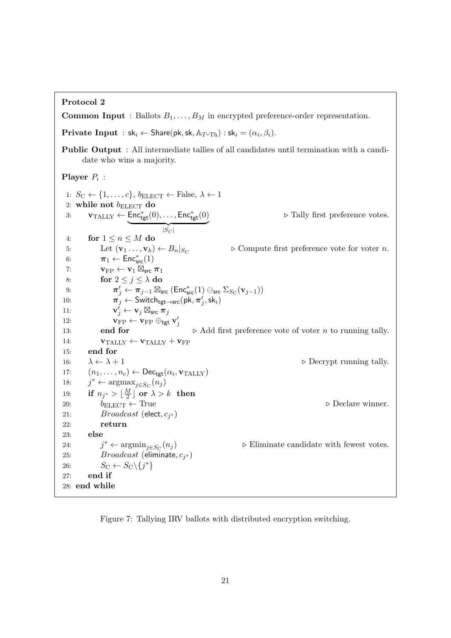### Protocol 2

**Common Input** : Ballots  $B_1, \ldots, B_M$  in encrypted preference-order representation.

**Private Input** :  $sk_i \leftarrow \text{Share}(pk, sk, \mathbb{A}_{T-Th})$  :  $sk_i = (\alpha_i, \beta_i)$ .

Public Output : All intermediate tallies of all candidates until termination with a candidate who wins a majority.

### **Player**  $P_i$  :

```
1: S_{\text{C}} \leftarrow \{1, \ldots, c\}, b_{\text{ELECT}} \leftarrow \text{False}, \lambda \leftarrow 12: while not b_{\text{ELECT}} do
  3: \mathbf{v}_{\text{TALY}} \leftarrow \mathsf{Enc}_{\mathsf{tgt}}^*(0), \dots, \mathsf{Enc}_{\mathsf{tgt}}^*(0)|S_C|\triangleright Tally first preference votes.
  4: for 1 \leq n \leq M do
  5: Let (\mathbf{v}_1 \dots, \mathbf{v}_k) \leftarrow B_n|_{S_C}\triangleright Compute first preference vote for voter n.
  6: \pi_1 \leftarrow \text{Enc}^*_{\text{src}}(1)7: \mathbf{v}_{\text{FP}} \leftarrow \mathbf{v}_1 \boxtimes_{\text{src}} \pi_18: for 2 \leq j \leq \lambda do
  9: \pi'_{j} \leftarrow \pi_{j-1} \boxtimes_{\mathsf{src}} (\mathsf{Enc}^*_{\mathsf{src}}(1) \ominus_{\mathsf{src}} \Sigma_{S_{\mathrm{C}}}(\mathbf{v}_{j-1}))10: \pi_j^{\prime} \leftarrow \textsf{Switch}_{\textsf{tgt} \rightarrow \textsf{src}}(\textsf{pk}, \pi_j^{\prime}, \textsf{sk}_i)11:\stackrel{\,\,{}_\circ}{\,\,} \leftarrow \mathbf{v}_j\boxtimes_{\mathsf{src}}\mathbf{\overline{\pi}}_j12: \mathbf{v}_{\text{FP}} \leftarrow \mathbf{v}_{\text{FP}} \oplus_{\text{tgt}} \mathbf{v}'_j13: end for \triangleright Add first preference vote of voter n to running tally.
14: \mathbf{v}_{\text{TALLY}} \leftarrow \mathbf{v}_{\text{TALLY}} + \mathbf{v}_{\text{FP}}15: end for
16: \lambda \leftarrow \lambda + 1 \triangleright Decrypt running tally.
17: (n_1, \ldots, n_c) \leftarrow \mathsf{Dec}_{\mathsf{tgt}}(\alpha_i, \mathbf{v}_{\text{TALLY}})18:
              * ← argmax_{j \in S_C}(n_j)19: if n_{j^*} > \lfloor \frac{M}{2} \rfloor\frac{M}{2} or \lambda > k then
20: b_{\text{ELECT}} \leftarrow \text{True} \triangleright Declare winner.
21: Broadcast (elect, c_{j^*})
22: return
23: else
24:j^* \leftarrow \operatorname{argmin}_{j \in S_C}(n_j)\triangleright Eliminate candidate with fewest votes.
25: Broadcast (eliminate, c_{j^*})
26: S_{\text{C}} \leftarrow S_{\text{C}} \setminus \{j^*\}27: end if
28: end while
```
Figure 7: Tallying IRV ballots with distributed encryption switching.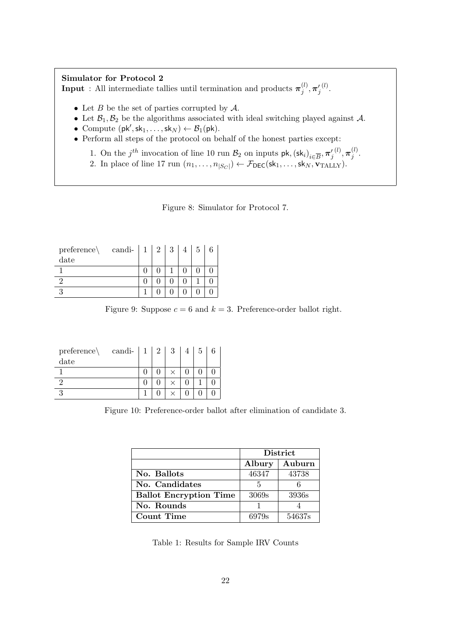#### Simulator for Protocol 2 **Input** : All intermediate tallies until termination and products  $\pi_i^{(l)}$  $_j^{(l)},\boldsymbol{\pi}_j'$  $\overset{(l)}{\cdot}$

- Let  $B$  be the set of parties corrupted by  $\mathcal{A}$ .
- Let  $\mathcal{B}_1, \mathcal{B}_2$  be the algorithms associated with ideal switching played against  $\mathcal{A}$ .
- Compute  $(\mathsf{pk}', \mathsf{sk}_1, \ldots, \mathsf{sk}_N) \leftarrow \mathcal{B}_1(\mathsf{pk})$ .
- Perform all steps of the protocol on behalf of the honest parties except:
	- 1. On the  $j^{th}$  invocation of line 10 run  $\mathcal{B}_2$  on inputs  $\mathsf{pk}, (\mathsf{sk}_i)_{i \in \overline{B}}, \pi'_j$  $(1), \pi_i^{(l)}$  $\frac{1}{j}$ .
	- 2. In place of line 17 run  $(n_1, \ldots, n_{|S_C|}) \leftarrow \mathcal{F}_{\text{DEC}}(\text{sk}_1, \ldots, \text{sk}_N, \textbf{v}_{\text{TALY}}).$

Figure 8: Simulator for Protocol 7.

| $preference\setminus$ | candi- | 2 <sup>1</sup> | 3 | 5 |  |
|-----------------------|--------|----------------|---|---|--|
| date                  |        |                |   |   |  |
|                       |        |                |   |   |  |
|                       |        |                |   |   |  |
| 9                     |        |                |   |   |  |

Figure 9: Suppose  $c = 6$  and  $k = 3$ . Preference-order ballot right.

| $preference\setminus$ | candi- | $\overline{2}$ | 3 | b |  |
|-----------------------|--------|----------------|---|---|--|
| date                  |        |                |   |   |  |
|                       |        |                |   |   |  |
|                       |        |                |   |   |  |
|                       |        |                |   |   |  |

Figure 10: Preference-order ballot after elimination of candidate 3.

|                               | <b>District</b> |        |  |
|-------------------------------|-----------------|--------|--|
|                               | Albury          | Auburn |  |
| No. Ballots                   | 46347           | 43738  |  |
| No. Candidates                | 5               |        |  |
| <b>Ballot Encryption Time</b> | 3069s           | 3936s  |  |
| No. Rounds                    |                 |        |  |
| Count Time                    | 6979s           | 54637s |  |

Table 1: Results for Sample IRV Counts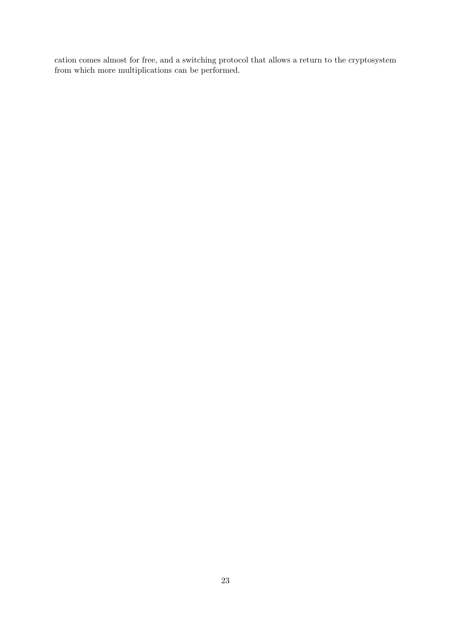cation comes almost for free, and a switching protocol that allows a return to the cryptosystem from which more multiplications can be performed.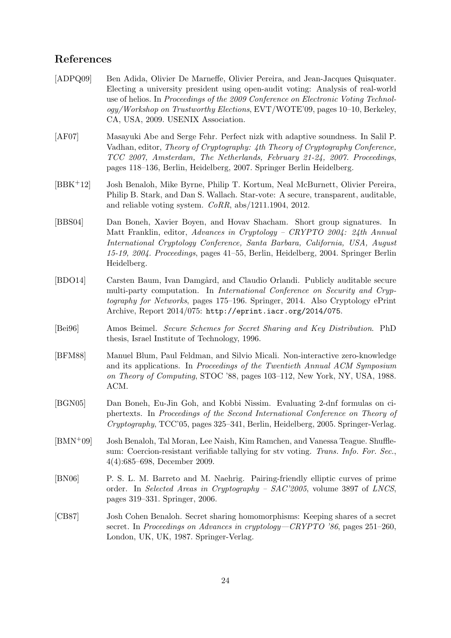## References

- [ADPQ09] Ben Adida, Olivier De Marneffe, Olivier Pereira, and Jean-Jacques Quisquater. Electing a university president using open-audit voting: Analysis of real-world use of helios. In Proceedings of the 2009 Conference on Electronic Voting Technology/Workshop on Trustworthy Elections, EVT/WOTE'09, pages 10–10, Berkeley, CA, USA, 2009. USENIX Association.
- [AF07] Masayuki Abe and Serge Fehr. Perfect nizk with adaptive soundness. In Salil P. Vadhan, editor, Theory of Cryptography: 4th Theory of Cryptography Conference, TCC 2007, Amsterdam, The Netherlands, February 21-24, 2007. Proceedings, pages 118–136, Berlin, Heidelberg, 2007. Springer Berlin Heidelberg.
- [BBK+12] Josh Benaloh, Mike Byrne, Philip T. Kortum, Neal McBurnett, Olivier Pereira, Philip B. Stark, and Dan S. Wallach. Star-vote: A secure, transparent, auditable, and reliable voting system. CoRR, abs/1211.1904, 2012.
- [BBS04] Dan Boneh, Xavier Boyen, and Hovav Shacham. Short group signatures. In Matt Franklin, editor, Advances in Cryptology – CRYPTO 2004: 24th Annual International Cryptology Conference, Santa Barbara, California, USA, August 15-19, 2004. Proceedings, pages 41–55, Berlin, Heidelberg, 2004. Springer Berlin Heidelberg.
- [BDO14] Carsten Baum, Ivan Damgård, and Claudio Orlandi. Publicly auditable secure multi-party computation. In *International Conference on Security and Cryp*tography for Networks, pages 175–196. Springer, 2014. Also Cryptology ePrint Archive, Report 2014/075: http://eprint.iacr.org/2014/075.
- [Bei96] Amos Beimel. Secure Schemes for Secret Sharing and Key Distribution. PhD thesis, Israel Institute of Technology, 1996.
- [BFM88] Manuel Blum, Paul Feldman, and Silvio Micali. Non-interactive zero-knowledge and its applications. In Proceedings of the Twentieth Annual ACM Symposium on Theory of Computing, STOC '88, pages 103–112, New York, NY, USA, 1988. ACM.
- [BGN05] Dan Boneh, Eu-Jin Goh, and Kobbi Nissim. Evaluating 2-dnf formulas on ciphertexts. In Proceedings of the Second International Conference on Theory of Cryptography, TCC'05, pages 325–341, Berlin, Heidelberg, 2005. Springer-Verlag.
- [BMN+09] Josh Benaloh, Tal Moran, Lee Naish, Kim Ramchen, and Vanessa Teague. Shufflesum: Coercion-resistant verifiable tallying for stv voting. Trans. Info. For. Sec., 4(4):685–698, December 2009.
- [BN06] P. S. L. M. Barreto and M. Naehrig. Pairing-friendly elliptic curves of prime order. In Selected Areas in Cryptography – SAC'2005, volume 3897 of LNCS, pages 319–331. Springer, 2006.
- [CB87] Josh Cohen Benaloh. Secret sharing homomorphisms: Keeping shares of a secret secret. In Proceedings on Advances in cryptology—CRYPTO '86, pages 251–260, London, UK, UK, 1987. Springer-Verlag.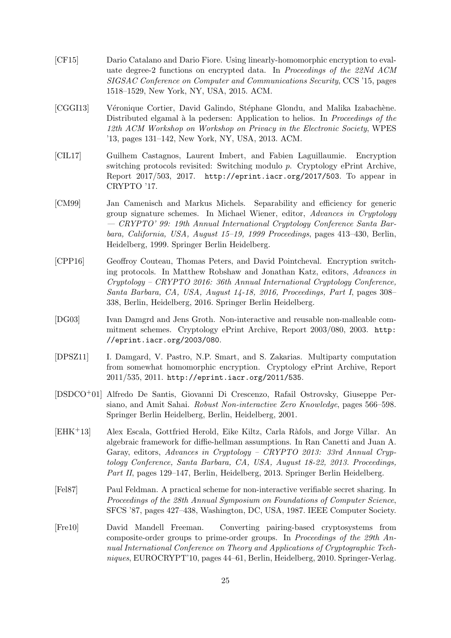- [CF15] Dario Catalano and Dario Fiore. Using linearly-homomorphic encryption to evaluate degree-2 functions on encrypted data. In Proceedings of the 22Nd ACM SIGSAC Conference on Computer and Communications Security, CCS '15, pages 1518–1529, New York, NY, USA, 2015. ACM.
- [CGGI13] Véronique Cortier, David Galindo, Stéphane Glondu, and Malika Izabachène. Distributed elgamal à la pedersen: Application to helios. In *Proceedings of the* 12th ACM Workshop on Workshop on Privacy in the Electronic Society, WPES '13, pages 131–142, New York, NY, USA, 2013. ACM.
- [CIL17] Guilhem Castagnos, Laurent Imbert, and Fabien Laguillaumie. Encryption switching protocols revisited: Switching modulo p. Cryptology ePrint Archive, Report 2017/503, 2017. http://eprint.iacr.org/2017/503. To appear in CRYPTO '17.
- [CM99] Jan Camenisch and Markus Michels. Separability and efficiency for generic group signature schemes. In Michael Wiener, editor, Advances in Cryptology — CRYPTO' 99: 19th Annual International Cryptology Conference Santa Barbara, California, USA, August 15–19, 1999 Proceedings, pages 413–430, Berlin, Heidelberg, 1999. Springer Berlin Heidelberg.
- [CPP16] Geoffroy Couteau, Thomas Peters, and David Pointcheval. Encryption switching protocols. In Matthew Robshaw and Jonathan Katz, editors, Advances in Cryptology – CRYPTO 2016: 36th Annual International Cryptology Conference, Santa Barbara, CA, USA, August 14-18, 2016, Proceedings, Part I, pages 308– 338, Berlin, Heidelberg, 2016. Springer Berlin Heidelberg.
- [DG03] Ivan Damgrd and Jens Groth. Non-interactive and reusable non-malleable commitment schemes. Cryptology ePrint Archive, Report 2003/080, 2003. http: //eprint.iacr.org/2003/080.
- [DPSZ11] I. Damgard, V. Pastro, N.P. Smart, and S. Zakarias. Multiparty computation from somewhat homomorphic encryption. Cryptology ePrint Archive, Report 2011/535, 2011. http://eprint.iacr.org/2011/535.
- [DSDCO+01] Alfredo De Santis, Giovanni Di Crescenzo, Rafail Ostrovsky, Giuseppe Persiano, and Amit Sahai. Robust Non-interactive Zero Knowledge, pages 566–598. Springer Berlin Heidelberg, Berlin, Heidelberg, 2001.
- [EHK+13] Alex Escala, Gottfried Herold, Eike Kiltz, Carla R`afols, and Jorge Villar. An algebraic framework for diffie-hellman assumptions. In Ran Canetti and Juan A. Garay, editors, Advances in Cryptology – CRYPTO 2013: 33rd Annual Cryptology Conference, Santa Barbara, CA, USA, August 18-22, 2013. Proceedings, Part II, pages 129–147, Berlin, Heidelberg, 2013. Springer Berlin Heidelberg.
- [Fel87] Paul Feldman. A practical scheme for non-interactive verifiable secret sharing. In Proceedings of the 28th Annual Symposium on Foundations of Computer Science, SFCS '87, pages 427–438, Washington, DC, USA, 1987. IEEE Computer Society.
- [Fre10] David Mandell Freeman. Converting pairing-based cryptosystems from composite-order groups to prime-order groups. In Proceedings of the 29th Annual International Conference on Theory and Applications of Cryptographic Techniques, EUROCRYPT'10, pages 44–61, Berlin, Heidelberg, 2010. Springer-Verlag.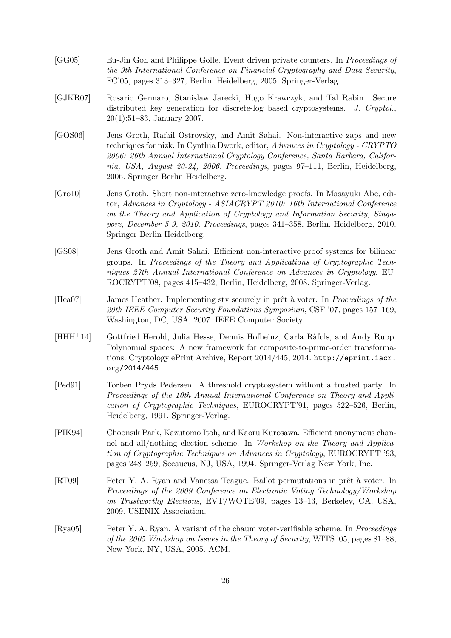- [GG05] Eu-Jin Goh and Philippe Golle. Event driven private counters. In Proceedings of the 9th International Conference on Financial Cryptography and Data Security, FC'05, pages 313–327, Berlin, Heidelberg, 2005. Springer-Verlag.
- [GJKR07] Rosario Gennaro, Stanislaw Jarecki, Hugo Krawczyk, and Tal Rabin. Secure distributed key generation for discrete-log based cryptosystems. J. Cryptol., 20(1):51–83, January 2007.
- [GOS06] Jens Groth, Rafail Ostrovsky, and Amit Sahai. Non-interactive zaps and new techniques for nizk. In Cynthia Dwork, editor, Advances in Cryptology - CRYPTO 2006: 26th Annual International Cryptology Conference, Santa Barbara, California, USA, August 20-24, 2006. Proceedings, pages 97–111, Berlin, Heidelberg, 2006. Springer Berlin Heidelberg.
- [Gro10] Jens Groth. Short non-interactive zero-knowledge proofs. In Masayuki Abe, editor, Advances in Cryptology - ASIACRYPT 2010: 16th International Conference on the Theory and Application of Cryptology and Information Security, Singapore, December 5-9, 2010. Proceedings, pages 341–358, Berlin, Heidelberg, 2010. Springer Berlin Heidelberg.
- [GS08] Jens Groth and Amit Sahai. Efficient non-interactive proof systems for bilinear groups. In Proceedings of the Theory and Applications of Cryptographic Techniques 27th Annual International Conference on Advances in Cryptology, EU-ROCRYPT'08, pages 415–432, Berlin, Heidelberg, 2008. Springer-Verlag.
- [Hea07] James Heather. Implementing stv securely in prêt à voter. In Proceedings of the 20th IEEE Computer Security Foundations Symposium, CSF '07, pages 157–169, Washington, DC, USA, 2007. IEEE Computer Society.
- [HHH<sup>+14]</sup> Gottfried Herold, Julia Hesse, Dennis Hofheinz, Carla Ràfols, and Andy Rupp. Polynomial spaces: A new framework for composite-to-prime-order transformations. Cryptology ePrint Archive, Report 2014/445, 2014. http://eprint.iacr. org/2014/445.
- [Ped91] Torben Pryds Pedersen. A threshold cryptosystem without a trusted party. In Proceedings of the 10th Annual International Conference on Theory and Application of Cryptographic Techniques, EUROCRYPT'91, pages 522–526, Berlin, Heidelberg, 1991. Springer-Verlag.
- [PIK94] Choonsik Park, Kazutomo Itoh, and Kaoru Kurosawa. Efficient anonymous channel and all/nothing election scheme. In Workshop on the Theory and Application of Cryptographic Techniques on Advances in Cryptology, EUROCRYPT '93, pages 248–259, Secaucus, NJ, USA, 1994. Springer-Verlag New York, Inc.
- [RT09] Peter Y. A. Ryan and Vanessa Teague. Ballot permutations in prêt à voter. In Proceedings of the 2009 Conference on Electronic Voting Technology/Workshop on Trustworthy Elections, EVT/WOTE'09, pages 13–13, Berkeley, CA, USA, 2009. USENIX Association.
- [Rya05] Peter Y. A. Ryan. A variant of the chaum voter-verifiable scheme. In Proceedings of the 2005 Workshop on Issues in the Theory of Security, WITS '05, pages 81–88, New York, NY, USA, 2005. ACM.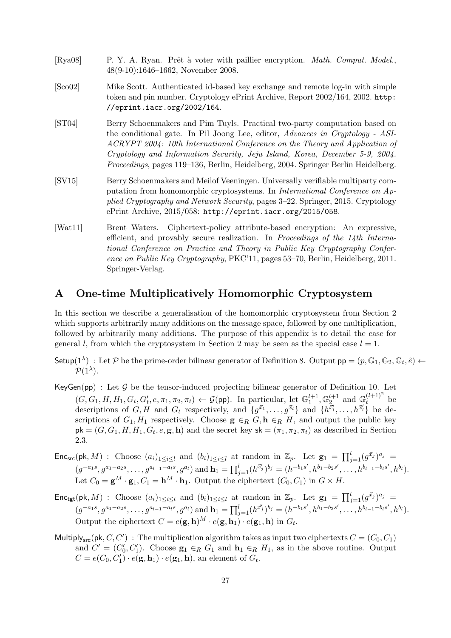| [Rya08]                    | P. Y. A. Ryan. Prêt à voter with paillier encryption. <i>Math. Comput. Model.</i> ,<br>$48(9-10):1646-1662$ , November 2008.                                                                                                                                                                                                                                                                                            |
|----------------------------|-------------------------------------------------------------------------------------------------------------------------------------------------------------------------------------------------------------------------------------------------------------------------------------------------------------------------------------------------------------------------------------------------------------------------|
| [Sco02]                    | Mike Scott. Authenticated id-based key exchange and remote log-in with simple<br>token and pin number. Cryptology ePrint Archive, Report 2002/164, 2002. http:<br>//eprint.iacr.org/2002/164.                                                                                                                                                                                                                           |
| $\left[\text{ST04}\right]$ | Berry Schoenmakers and Pim Tuyls. Practical two-party computation based on<br>the conditional gate. In Pil Joong Lee, editor, Advances in Cryptology - ASI-<br>ACRYPT 2004: 10th International Conference on the Theory and Application of<br>Cryptology and Information Security, Jeju Island, Korea, December 5-9, 2004.<br><i>Proceedings</i> , pages 119–136, Berlin, Heidelberg, 2004. Springer Berlin Heidelberg. |
| [SV15]                     | Berry Schoenmakers and Meilof Veeningen. Universally verifiable multiparty com-<br>putation from homomorphic cryptosystems. In <i>International Conference on Ap</i> -<br>plied Cryptography and Network Security, pages 3–22. Springer, 2015. Cryptology<br>ePrint Archive, $2015/058$ : http://eprint.iacr.org/2015/058.                                                                                              |
| [Wat11]                    | Brent Waters. Ciphertext-policy attribute-based encryption: An expressive,<br>efficient, and provably secure realization. In Proceedings of the $14$ th Interna-<br>tional Conference on Practice and Theory in Public Key Cryptography Confer-<br>ence on Public Key Cryptography, PKC'11, pages 53–70, Berlin, Heidelberg, 2011.<br>Springer-Verlag.                                                                  |

### A One-time Multiplicatively Homomorphic Cryptosystem

In this section we describe a generalisation of the homomorphic cryptosystem from Section 2 which supports arbitrarily many additions on the message space, followed by one multiplication, followed by arbitrarily many additions. The purpose of this appendix is to detail the case for general l, from which the cryptosystem in Section 2 may be seen as the special case  $l = 1$ .

Setup( $1^{\lambda}$ ) : Let P be the prime-order bilinear generator of Definition 8. Output  $pp = (p, \mathbb{G}_1, \mathbb{G}_2, \mathbb{G}_t, \hat{e}) \leftarrow$  $\mathcal{P}(1^{\lambda}).$ 

- KeyGen(pp) : Let  $G$  be the tensor-induced projecting bilinear generator of Definition 10. Let  $(G, G_1, H, H_1, G_t, G'_t, e, \pi_1, \pi_2, \pi_t) \leftarrow \mathcal{G}(\text{pp})$ . In particular, let  $\mathbb{G}_1^{l+1}, \mathbb{G}_2^{l+1}$  and  $\mathbb{G}_t^{(l+1)^2}$  be descriptions of  $G, H$  and  $G_t$  respectively, and  $\{g^{\vec{x}_1}, \ldots, g^{\vec{x}_l}\}\$  and  $\{h^{\vec{x}'_l}, \ldots, h^{\vec{x}'_l}\}$  be descriptions of  $G_1, H_1$  respectively. Choose  $\mathbf{g} \in_R G$ ,  $\mathbf{h} \in_R H$ , and output the public key  $pk = (G, G_1, H, H_1, G_t, e, g, h)$  and the secret key  $sk = (\pi_1, \pi_2, \pi_t)$  as described in Section 2.3.
- Enc<sub>src</sub>(pk, M): Choose  $(a_i)_{1\leq i\leq l}$  and  $(b_i)_{1\leq i\leq l}$  at random in  $\mathbb{Z}_p$ . Let  $\mathbf{g}_1 = \prod_{j=1}^l (g^{\vec{x}_j})^{a_j}$  $(g^{-a_1s}, g^{a_1-a_2s}, \ldots, g^{a_{l-1}-a_ls}, g^{a_l})$  and  $\mathbf{h}_1 = \prod_{j=1}^l (h^{\vec{x}_j'})^{b_j} = (h^{-b_1s'}, h^{b_1-b_2s'}, \ldots, h^{b_{l-1}-b_ls'}, h^{b_l}).$ Let  $C_0 = \mathbf{g}^M \cdot \mathbf{g}_1, C_1 = \mathbf{h}^M \cdot \mathbf{h}_1$ . Output the ciphertext  $(C_0, C_1)$  in  $G \times H$ .
- $\mathsf{Enc}_{\mathsf{tgt}}(\mathsf{pk}, M)$  : Choose  $(a_i)_{1 \leq i \leq l}$  and  $(b_i)_{1 \leq i \leq l}$  at random in  $\mathbb{Z}_p$ . Let  $\mathbf{g}_1 = \prod_{j=1}^l (g^{\vec{x}_j})^{a_j} =$  $(g^{-a_1s}, g^{a_1-a_2s}, \ldots, g^{a_{l-1}-a_ls}, g^{a_l})$  and  $\mathbf{h}_1 = \prod_{j=1}^l (h^{\vec{x}_j'})^{b_j} = (h^{-b_1s'}, h^{b_1-b_2s'}, \ldots, h^{b_{l-1}-b_ls'}, h^{b_l}).$ Output the ciphertext  $C = e(\mathbf{g}, \mathbf{h})^M \cdot e(\mathbf{g}, \mathbf{h}_1) \cdot e(\mathbf{g}_1, \mathbf{h})$  in  $G_t$ .
- Multiply<sub>src</sub>(pk, C, C') : The multiplication algorithm takes as input two ciphertexts  $C = (C_0, C_1)$ and  $C' = (C'_0, C'_1)$ . Choose  $\mathbf{g}_1 \in_R G_1$  and  $\mathbf{h}_1 \in_R H_1$ , as in the above routine. Output  $C = e(C_0, C'_1) \cdot e(\mathbf{g}, \mathbf{h}_1) \cdot e(\mathbf{g}_1, \mathbf{h}),$  an element of  $G_t$ .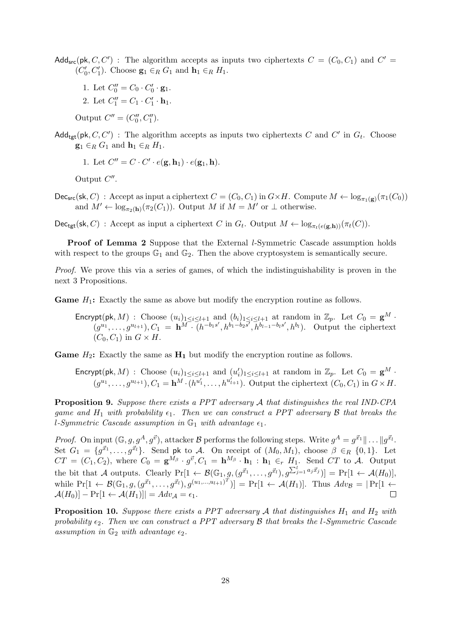- Add<sub>src</sub>(pk, C, C') : The algorithm accepts as inputs two ciphertexts  $C = (C_0, C_1)$  and  $C' =$  $(C'_0, C'_1)$ . Choose  $\mathbf{g}_1 \in_R G_1$  and  $\mathbf{h}_1 \in_R H_1$ .
	- 1. Let  $C_0'' = C_0 \cdot C_0' \cdot \mathbf{g}_1$ . 2. Let  $C_1'' = C_1 \cdot C_1' \cdot \mathbf{h}_1$ .
	- Output  $C'' = (C_0'', C_1'').$
- Add<sub>tgt</sub>(pk, C, C'): The algorithm accepts as inputs two ciphertexts C and C' in  $G_t$ . Choose  $\mathbf{g}_1 \in_R G_1$  and  $\mathbf{h}_1 \in_R H_1$ .
	- 1. Let  $C'' = C \cdot C' \cdot e(\mathbf{g}, \mathbf{h}_1) \cdot e(\mathbf{g}_1, \mathbf{h}).$

Output  $C''$ .

 $\mathsf{Dec}_{\mathsf{src}}(\mathsf{sk}, C)$ : Accept as input a ciphertext  $C = (C_0, C_1)$  in  $G \times H$ . Compute  $M \leftarrow \log_{\pi_1(\mathbf{g})}(\pi_1(C_0))$ and  $M' \leftarrow \log_{\pi_2(h)}(\pi_2(C_1))$ . Output M if  $M = M'$  or  $\perp$  otherwise.

 $\mathsf{Dec}_{\mathsf{tgt}}(\mathsf{sk}, C)$ : Accept as input a ciphertext C in  $G_t$ . Output  $M \leftarrow \log_{\pi_t(e(\mathbf{g}, \mathbf{h}))}(\pi_t(C))$ .

**Proof of Lemma 2** Suppose that the External *l*-Symmetric Cascade assumption holds with respect to the groups  $\mathbb{G}_1$  and  $\mathbb{G}_2$ . Then the above cryptosystem is semantically secure.

Proof. We prove this via a series of games, of which the indistinguishability is proven in the next 3 Propositions.

**Game**  $H_1$ : Exactly the same as above but modify the encryption routine as follows.

Encrypt(pk, M) : Choose  $(u_i)_{1\leq i\leq l+1}$  and  $(b_i)_{1\leq i\leq l+1}$  at random in  $\mathbb{Z}_p$ . Let  $C_0 = \mathbf{g}^M$ .  $(g^{u_1},\ldots,g^{u_{l+1}}),C_1=\mathbf{h}^{\widetilde{M^-}}\left(h^{-b_1s'},h^{b_1-b_2\overline{s'}},\overline{h}^{b_{l-1}-b_ls'},h^{b_l}\right).$  Output the ciphertext  $(C_0, C_1)$  in  $G \times H$ .

**Game**  $H_2$ : Exactly the same as  $H_1$  but modify the encryption routine as follows.

**Encrypt(pk**, M) : Choose 
$$
(u_i)_{1 \leq i \leq l+1}
$$
 and  $(u'_i)_{1 \leq i \leq l+1}$  at random in  $\mathbb{Z}_p$ . Let  $C_0 = \mathbf{g}^M \cdot (g^{u_1}, \ldots, g^{u_{l+1}}), C_1 = \mathbf{h}^M \cdot (h^{u'_1}, \ldots, h^{u'_{l+1}})$ . Output the ciphertext  $(C_0, C_1)$  in  $G \times H$ .

Proposition 9. Suppose there exists a PPT adversary A that distinguishes the real IND-CPA game and  $H_1$  with probability  $\epsilon_1$ . Then we can construct a PPT adversary B that breaks the l-Symmetric Cascade assumption in  $\mathbb{G}_1$  with advantage  $\epsilon_1$ .

*Proof.* On input  $(\mathbb{G}, g, g^A, g^{\vec{v}})$ , attacker B performs the following steps. Write  $g^A = g^{\vec{x}_1} \|\dots \|g^{\vec{x}_l}$ . Set  $G_1 = \{g^{\vec{x}_1}, \ldots, g^{\vec{x}_l}\}\$ . Send pk to A. On receipt of  $(M_0, M_1)$ , choose  $\beta \in_R \{0, 1\}$ . Let  $CT = (C_1, C_2)$ , where  $C_0 = \mathbf{g}^{M_\beta} \cdot g^{\vec{v}}, C_1 = \mathbf{h}^{M_\beta} \cdot \mathbf{h}_1 : \mathbf{h}_1 \in_r H_1$ . Send  $CT$  to A. Output the bit that A outputs. Clearly  $Pr[1 \leftarrow \mathcal{B}(\mathbb{G}_1, g, (g^{\vec{x}_1}, \dots, g^{\vec{x}_l}), g^{\sum_{j=1}^l a_j \vec{x}_j})] = Pr[1 \leftarrow \mathcal{A}(H_0)],$ while  $Pr[1 \leftarrow \mathcal{B}(\mathbb{G}_1, g, (g^{\vec{x}_1}, \dots, g^{\vec{x}_l}), g^{(u_1, \dots, u_{l+1})^T})] = Pr[1 \leftarrow \mathcal{A}(H_1)].$  Thus  $Adv_{\mathcal{B}} = |Pr[1 \leftarrow \mathcal{A}(H_1)]$  $\mathcal{A}(H_0)$ ] – Pr[1  $\leftarrow \mathcal{A}(H_1)$ ]] =  $Adv_{\mathcal{A}} = \epsilon_1$ .  $\Box$ 

**Proposition 10.** Suppose there exists a PPT adversary  $A$  that distinguishes  $H_1$  and  $H_2$  with probability  $\epsilon_2$ . Then we can construct a PPT adversary B that breaks the l-Symmetric Cascade assumption in  $\mathbb{G}_2$  with advantage  $\epsilon_2$ .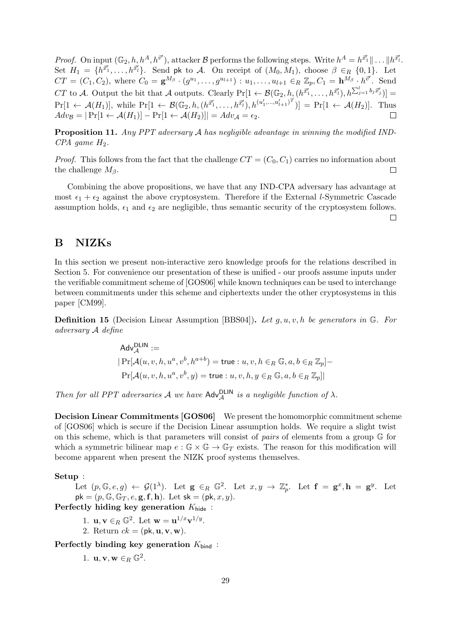*Proof.* On input  $(\mathbb{G}_2, h, h^A, h^{\vec{v}'})$ , attacker  $\mathcal{B}$  performs the following steps. Write  $h^A = h^{\vec{x}_1} || \dots || h^{\vec{x}_l}$ . Set  $H_1 = \{h^{\vec{x}_1}, \ldots, h^{\vec{x}_l}\}\.$  Send pk to A. On receipt of  $(M_0, M_1)$ , choose  $\beta \in_R \{0, 1\}$ . Let  $CT = (C_1, C_2)$ , where  $C_0 = \mathbf{g}^{M_{\beta}} \cdot (g^{u_1}, \dots, g^{u_{l+1}}) : u_1, \dots, u_{l+1} \in_R \mathbb{Z}_p, C_1 = \mathbf{h}^{M_{\beta}} \cdot h^{\vec{v}'}$ . Send CT to A. Output the bit that A outputs. Clearly  $Pr[1 \leftarrow \mathcal{B}(\mathbb{G}_2, h, (h^{\vec{x}_1'}, \ldots, h^{\vec{x}_l'}), h^{\sum_{j=1}^l b_j \vec{x}_j'})] =$  $Pr[1 \leftarrow \mathcal{A}(H_1)],$  while  $Pr[1 \leftarrow \mathcal{B}(\mathbb{G}_2, h, (h^{\vec{x}_1'}, \ldots, h^{\vec{x}_l'}), h^{(u'_1, \ldots, u'_{l+1})^T})] = Pr[1 \leftarrow \mathcal{A}(H_2)].$  Thus  $Adv_B = |\Pr[1 \leftarrow \mathcal{A}(H_1)| - \Pr[1 \leftarrow \mathcal{A}(H_2)]| = Adv_A = \epsilon_2.$  $\Box$ 

Proposition 11. Any PPT adversary A has negligible advantage in winning the modified IND- $CPA$  game  $H_2$ .

*Proof.* This follows from the fact that the challenge  $CT = (C_0, C_1)$  carries no information about  $\Box$ the challenge  $M_{\beta}$ .

Combining the above propositions, we have that any IND-CPA adversary has advantage at most  $\epsilon_1 + \epsilon_2$  against the above cryptosystem. Therefore if the External l-Symmetric Cascade assumption holds,  $\epsilon_1$  and  $\epsilon_2$  are negligible, thus semantic security of the cryptosystem follows.  $\Box$ 

# B NIZKs

In this section we present non-interactive zero knowledge proofs for the relations described in Section 5. For convenience our presentation of these is unified - our proofs assume inputs under the verifiable commitment scheme of [GOS06] while known techniques can be used to interchange between commitments under this scheme and ciphertexts under the other cryptosystems in this paper [CM99].

**Definition 15** (Decision Linear Assumption [BBS04]). Let  $g, u, v, h$  be generators in  $\mathbb{G}$ . For adversary A define

$$
Adv_{\mathcal{A}}^{\text{DLIN}} :=
$$
\n
$$
| \Pr[\mathcal{A}(u, v, h, u^a, v^b, h^{a+b}) = \text{true} : u, v, h \in_R \mathbb{G}, a, b \in_R \mathbb{Z}_p ]
$$
\n
$$
Pr[\mathcal{A}(u, v, h, u^a, v^b, y) = \text{true} : u, v, h, y \in_R \mathbb{G}, a, b \in_R \mathbb{Z}_p ] |
$$

Then for all PPT adversaries  $A$  we have  $\mathsf{Adv}_{\mathcal{A}}^{\mathsf{DLIN}}$  is a negligible function of  $\lambda$ .

Decision Linear Commitments [GOS06] We present the homomorphic commitment scheme of [GOS06] which is secure if the Decision Linear assumption holds. We require a slight twist on this scheme, which is that parameters will consist of pairs of elements from a group  $\mathbb{G}$  for which a symmetric bilinear map  $e : \mathbb{G} \times \mathbb{G} \to \mathbb{G}_T$  exists. The reason for this modification will become apparent when present the NIZK proof systems themselves.

### Setup :

Let  $(p, \mathbb{G}, e, g) \leftarrow \mathcal{G}(1^{\lambda})$ . Let  $g \in_R \mathbb{G}^2$ . Let  $x, y \rightarrow \mathbb{Z}_p^*$ . Let  $f = g^x, h = g^y$ . Let  $pk = (p, \mathbb{G}, \mathbb{G}_T, e, g, f, h)$ . Let  $sk = (pk, x, y)$ .

Perfectly hiding key generation  $K_{\text{hide}}$ :

- 1.  $\mathbf{u}, \mathbf{v} \in_R \mathbb{G}^2$ . Let  $\mathbf{w} = \mathbf{u}^{1/x} \mathbf{v}^{1/y}$ .
- 2. Return  $ck = (pk, u, v, w)$ .

Perfectly binding key generation  $K_{bind}$ :

1.  $\mathbf{u}, \mathbf{v}, \mathbf{w} \in_R \mathbb{G}^2$ .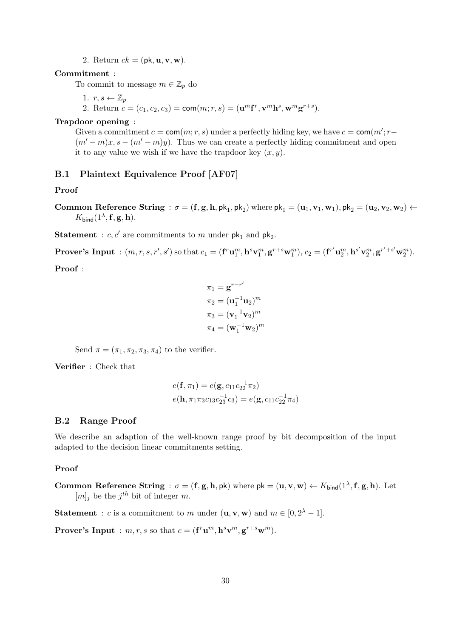2. Return  $ck = (pk, u, v, w)$ .

### Commitment :

To commit to message  $m \in \mathbb{Z}_p$  do

1.  $r, s \leftarrow \mathbb{Z}_p$ 

2. Return  $c = (c_1, c_2, c_3) = \text{com}(m; r, s) = (\mathbf{u}^m \mathbf{f}^r, \mathbf{v}^m \mathbf{h}^s, \mathbf{w}^m \mathbf{g}^{r+s}).$ 

### Trapdoor opening :

Given a commitment  $c = \text{com}(m; r, s)$  under a perfectly hiding key, we have  $c = \text{com}(m'; r (m'-m)x, s-(m'-m)y$ . Thus we can create a perfectly hiding commitment and open it to any value we wish if we have the trapdoor key  $(x, y)$ .

### B.1 Plaintext Equivalence Proof [AF07]

### Proof

Common Reference String :  $\sigma = (f, g, h, \rho k_1, \rho k_2)$  where  $\rho k_1 = (u_1, v_1, w_1), \rho k_2 = (u_2, v_2, w_2) \leftarrow$  $K_{\mathsf{bind}}(1^{\lambda}, \mathbf{f}, \mathbf{g}, \mathbf{h}).$ 

**Statement** :  $c, c'$  are commitments to m under  $pk_1$  and  $pk_2$ .

**Prover's Input** :  $(m, r, s, r', s')$  so that  $c_1 = (\mathbf{f}^r \mathbf{u}_1^m, \mathbf{h}^s \mathbf{v}_1^m, \mathbf{g}^{r+s} \mathbf{w}_1^m), c_2 = (\mathbf{f}^{r'} \mathbf{u}_2^m, \mathbf{h}^{s'} \mathbf{v}_2^m, \mathbf{g}^{r'+s'} \mathbf{w}_2^m)$ .

Proof :

$$
\pi_1 = \mathbf{g}^{r-r'}
$$

$$
\pi_2 = (\mathbf{u}_1^{-1} \mathbf{u}_2)^m
$$

$$
\pi_3 = (\mathbf{v}_1^{-1} \mathbf{v}_2)^m
$$

$$
\pi_4 = (\mathbf{w}_1^{-1} \mathbf{w}_2)^m
$$

Send  $\pi = (\pi_1, \pi_2, \pi_3, \pi_4)$  to the verifier.

Verifier : Check that

$$
e(\mathbf{f}, \pi_1) = e(\mathbf{g}, c_{11}c_{22}^{-1}\pi_2)
$$
  

$$
e(\mathbf{h}, \pi_1\pi_3c_{13}c_{23}^{-1}c_3) = e(\mathbf{g}, c_{11}c_{22}^{-1}\pi_4)
$$

#### B.2 Range Proof

We describe an adaption of the well-known range proof by bit decomposition of the input adapted to the decision linear commitments setting.

### Proof

Common Reference String :  $\sigma = (f, g, h, \rho k)$  where  $\rho k = (u, v, w) \leftarrow K_{bind}(1^{\lambda}, f, g, h)$ . Let  $[m]_j$  be the  $j^{th}$  bit of integer m.

**Statement** : *c* is a commitment to *m* under  $(\mathbf{u}, \mathbf{v}, \mathbf{w})$  and  $m \in [0, 2^{\lambda} - 1]$ .

**Prover's Input** :  $m, r, s$  so that  $c = (\mathbf{f}^r \mathbf{u}^m, \mathbf{h}^s \mathbf{v}^m, \mathbf{g}^{r+s} \mathbf{w}^m)$ .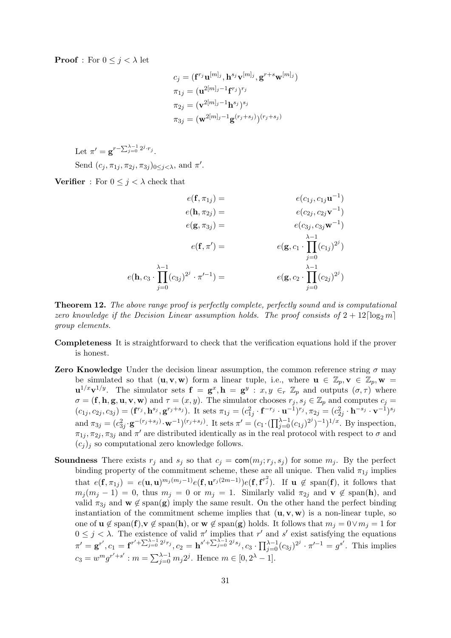**Proof** : For  $0 \leq j < \lambda$  let

$$
c_j = (\mathbf{f}^{r_j} \mathbf{u}^{[m]_j}, \mathbf{h}^{s_j} \mathbf{v}^{[m]_j}, \mathbf{g}^{r+s} \mathbf{w}^{[m]_j})
$$
  
\n
$$
\pi_{1j} = (\mathbf{u}^{2[m]_j-1} \mathbf{f}^{r_j})^{r_j}
$$
  
\n
$$
\pi_{2j} = (\mathbf{v}^{2[m]_j-1} \mathbf{h}^{s_j})^{s_j}
$$
  
\n
$$
\pi_{3j} = (\mathbf{w}^{2[m]_j-1} \mathbf{g}^{(r_j+s_j)})^{(r_j+s_j)}
$$

Let  $\pi' = \mathbf{g}^{r-\sum_{j=0}^{\lambda-1} 2^j \cdot r_j}$ . Send  $(c_j, \pi_{1j}, \pi_{2j}, \pi_{3j})_{0 \leq j < \lambda}$ , and  $\pi'$ .

**Verifier** : For  $0 \leq j \leq \lambda$  check that

$$
e(\mathbf{f}, \pi_{1j}) = e(c_{1j}, c_{1j}\mathbf{u}^{-1})
$$
  
\n
$$
e(\mathbf{h}, \pi_{2j}) = e(c_{2j}, c_{2j}\mathbf{v}^{-1})
$$
  
\n
$$
e(\mathbf{g}, \pi_{3j}) = e(c_{3j}, c_{3j}\mathbf{w}^{-1})
$$
  
\n
$$
e(\mathbf{f}, \pi') = e(\mathbf{g}, c_1 \cdot \prod_{j=0}^{\lambda-1} (c_{1j})^{2^j})
$$
  
\n
$$
e(\mathbf{h}, c_3 \cdot \prod_{j=0}^{\lambda-1} (c_{3j})^{2^j} \cdot \pi'^{-1}) = e(\mathbf{g}, c_2 \cdot \prod_{j=0}^{\lambda-1} (c_{2j})^{2^j})
$$

Theorem 12. The above range proof is perfectly complete, perfectly sound and is computational zero knowledge if the Decision Linear assumption holds. The proof consists of  $2 + 12 \lceil \log_2 m \rceil$ group elements.

- Completeness It is straightforward to check that the verification equations hold if the prover is honest.
- **Zero Knowledge** Under the decision linear assumption, the common reference string  $\sigma$  may be simulated so that  $(\mathbf{u}, \mathbf{v}, \mathbf{w})$  form a linear tuple, i.e., where  $\mathbf{u} \in \mathbb{Z}_p$ ,  $\mathbf{v} \in \mathbb{Z}_p$ ,  $\mathbf{w} =$  $\mathbf{u}^{1/x} \mathbf{v}^{1/y}$ . The simulator sets  $\mathbf{f} = \mathbf{g}^x, \mathbf{h} = \mathbf{g}^y : x, y \in_r \mathbb{Z}_p$  and outputs  $(\sigma, \tau)$  where  $\sigma = (\mathbf{f}, \mathbf{h}, \mathbf{g}, \mathbf{u}, \mathbf{v}, \mathbf{w})$  and  $\tau = (x, y)$ . The simulator chooses  $r_j, s_j \in \mathbb{Z}_p$  and computes  $c_j =$  $(c_{1j}, c_{2j}, c_{3j}) = (\mathbf{f}^{r_j}, \mathbf{h}^{s_j}, \mathbf{g}^{r_j+s_j}).$  It sets  $\pi_{1j} = (c_{1j}^2 \cdot \mathbf{f}^{-r_j} \cdot \mathbf{u}^{-1})^{r_j}, \pi_{2j} = (c_{2j}^2 \cdot \mathbf{h}^{-s_j} \cdot \mathbf{v}^{-1})^{s_j}$ and  $\pi_{3j} = (c_{3j}^2 \cdot \mathbf{g}^{-(r_j+s_j)} \cdot \mathbf{w}^{-1})^{(r_j+s_j)}$ . It sets  $\pi' = (c_1 \cdot (\prod_{j=0}^{\lambda-1} (c_{1j})^{2^j})^{-1})^{1/x}$ . By inspection,  $\pi_{1j}, \pi_{2j}, \pi_{3j}$  and  $\pi'$  are distributed identically as in the real protocol with respect to  $\sigma$  and  $(c_i)_i$  so computational zero knowledge follows.
- **Soundness** There exists  $r_j$  and  $s_j$  so that  $c_j = \text{com}(m_j; r_j, s_j)$  for some  $m_j$ . By the perfect binding property of the commitment scheme, these are all unique. Then valid  $\pi_{1j}$  implies that  $e(\mathbf{f}, \pi_{1j}) = e(\mathbf{u}, \mathbf{u})^{m_j(m_j-1)} e(\mathbf{f}, \mathbf{u}^{r_j(2m-1)}) e(\mathbf{f}, \mathbf{f}^{r_j^2})$ . If  $\mathbf{u} \notin \text{span}(\mathbf{f})$ , it follows that  $m_i (m_i - 1) = 0$ , thus  $m_i = 0$  or  $m_i = 1$ . Similarly valid  $\pi_{2i}$  and  $\mathbf{v} \notin \text{span}(\mathbf{h})$ , and valid  $\pi_{3j}$  and  $\mathbf{w} \notin \text{span}(\mathbf{g})$  imply the same result. On the other hand the perfect binding instantiation of the commitment scheme implies that  $(\mathbf{u}, \mathbf{v}, \mathbf{w})$  is a non-linear tuple, so one of  $\mathbf{u} \notin \text{span}(\mathbf{f}), \mathbf{v} \notin \text{span}(\mathbf{h}), \text{ or } \mathbf{w} \notin \text{span}(\mathbf{g})$  holds. It follows that  $m_j = 0 \lor m_j = 1$  for  $0 \leq j < \lambda$ . The existence of valid  $\pi'$  implies that r' and s' exist satisfying the equations  $\pi' = \mathbf{g}^{r'}, c_1 = \mathbf{f}^{r' + \sum_{j=0}^{\lambda-1} 2^{j} r_j}, c_2 = \mathbf{h}^{s' + \sum_{j=0}^{\lambda-1} 2^{j} s_j}, c_3 \cdot \prod_{j=0}^{\lambda-1} (c_{3j})^{2^{j}} \cdot \pi'^{-1} = g^{s'}$ . This implies  $c_3 = w^m g^{r'+s'}$ :  $m = \sum_{j=0}^{\lambda-1} m_j 2^j$ . Hence  $m \in [0, 2^{\lambda} - 1]$ .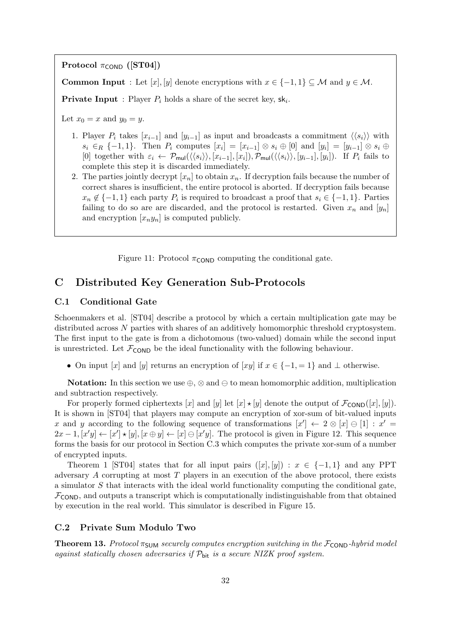Protocol  $\pi_{\text{COND}}$  ([ST04])

**Common Input** : Let  $[x]$ ,  $[y]$  denote encryptions with  $x \in \{-1, 1\} \subseteq M$  and  $y \in M$ .

**Private Input**: Player  $P_i$  holds a share of the secret key,  $sk_i$ .

Let  $x_0 = x$  and  $y_0 = y$ .

- 1. Player  $P_i$  takes  $[x_{i-1}]$  and  $[y_{i-1}]$  as input and broadcasts a commitment  $\langle \langle s_i \rangle \rangle$  with  $s_i \in_R \{-1,1\}$ . Then  $P_i$  computes  $[x_i] = [x_{i-1}] \otimes s_i \oplus [0]$  and  $[y_i] = [y_{i-1}] \otimes s_i \oplus$ [0] together with  $\varepsilon_i \leftarrow \mathcal{P}_{\mathsf{mul}}(\langle \langle s_i \rangle \rangle, [x_{i-1}], [x_i]), \mathcal{P}_{\mathsf{mul}}(\langle \langle s_i \rangle \rangle, [y_{i-1}], [y_i]).$  If  $P_i$  fails to complete this step it is discarded immediately.
- 2. The parties jointly decrypt  $[x_n]$  to obtain  $x_n$ . If decryption fails because the number of correct shares is insufficient, the entire protocol is aborted. If decryption fails because  $x_n \notin \{-1,1\}$  each party  $P_i$  is required to broadcast a proof that  $s_i \in \{-1,1\}$ . Parties failing to do so are are discarded, and the protocol is restarted. Given  $x_n$  and  $[y_n]$ and encryption  $[x_n y_n]$  is computed publicly.

Figure 11: Protocol  $\pi_{\text{COMP}}$  computing the conditional gate.

# C Distributed Key Generation Sub-Protocols

### C.1 Conditional Gate

Schoenmakers et al. [ST04] describe a protocol by which a certain multiplication gate may be distributed across N parties with shares of an additively homomorphic threshold cryptosystem. The first input to the gate is from a dichotomous (two-valued) domain while the second input is unrestricted. Let  $\mathcal{F}_{\text{COMP}}$  be the ideal functionality with the following behaviour.

• On input [x] and [y] returns an encryption of [xy] if  $x \in \{-1, =1\}$  and  $\perp$  otherwise.

Notation: In this section we use  $\oplus$ ,  $\otimes$  and  $\ominus$  to mean homomorphic addition, multiplication and subtraction respectively.

For properly formed ciphertexts [x] and [y] let  $[x] \star [y]$  denote the output of  $\mathcal{F}_{\text{COND}}([x], [y])$ . It is shown in [ST04] that players may compute an encryption of xor-sum of bit-valued inputs x and y according to the following sequence of transformations  $[x'] \leftarrow 2 \otimes [x] \ominus [1] : x' =$  $2x-1, [x'y] \leftarrow [x'] \star [y], [x \oplus y] \leftarrow [x] \ominus [x'y].$  The protocol is given in Figure 12. This sequence forms the basis for our protocol in Section C.3 which computes the private xor-sum of a number of encrypted inputs.

Theorem 1 [ST04] states that for all input pairs  $([x], [y]) : x \in \{-1, 1\}$  and any PPT adversary A corrupting at most T players in an execution of the above protocol, there exists a simulator S that interacts with the ideal world functionality computing the conditional gate,  $\mathcal{F}_{\text{COND}}$ , and outputs a transcript which is computationally indistinguishable from that obtained by execution in the real world. This simulator is described in Figure 15.

### C.2 Private Sum Modulo Two

**Theorem 13.** Protocol  $\pi_{\text{SUM}}$  securely computes encryption switching in the  $\mathcal{F}_{\text{COND}}$ -hybrid model against statically chosen adversaries if  $\mathcal{P}_{\text{bit}}$  is a secure NIZK proof system.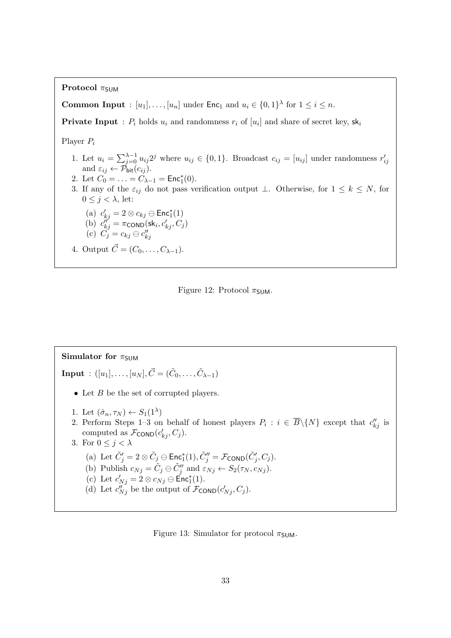Protocol  $\pi_{\text{SIM}}$ 

**Common Input** :  $[u_1], \ldots, [u_n]$  under  $\mathsf{Enc}_1$  and  $u_i \in \{0,1\}^{\lambda}$  for  $1 \le i \le n$ .

**Private Input** :  $P_i$  holds  $u_i$  and randomness  $r_i$  of  $[u_i]$  and share of secret key,  $sk_i$ 

Player P<sup>i</sup>

- 1. Let  $u_i = \sum_{j=0}^{\lambda-1} u_{ij} 2^j$  where  $u_{ij} \in \{0,1\}$ . Broadcast  $c_{ij} = [u_{ij}]$  under randomness  $r'_{ij}$ and  $\varepsilon_{ij} \leftarrow \mathcal{P}_{\text{bit}}(c_{ij}).$
- 2. Let  $C_0 = \ldots = C_{\lambda-1} = \text{Enc}_1^*(0)$ .
- 3. If any of the  $\varepsilon_{ij}$  do not pass verification output ⊥. Otherwise, for  $1 \leq k \leq N$ , for  $0 \leq j < \lambda$ , let:

(a) 
$$
c'_{kj} = 2 \otimes c_{kj} \ominus \text{Enc}^*_1(1)
$$
\n(b)  $c''_{kj} = \pi \text{conv}(sk_i, c'_{kj}, C_j)$ 

(c) 
$$
C_j = c_{kj} \ominus c_{kj}''
$$

4. Output  $\vec{C} = (C_0, \ldots, C_{\lambda-1}).$ 



# Simulator for  $\pi_{SUM}$  $\textbf{Input}\,:\,([u_1],\ldots,[u_N],\vec{C}=(\tilde{C}_0,\ldots,\tilde{C}_{\lambda-1})$ • Let  $B$  be the set of corrupted players. 1. Let  $(\hat{\sigma}_n, \tau_N) \leftarrow S_1(1^{\lambda})$ 2. Perform Steps 1–3 on behalf of honest players  $P_i : i \in \overline{B} \setminus \{N\}$  except that  $c''_{kj}$  is computed as  $\mathcal{F}_{\text{COND}}(c'_{kj}, C_j)$ . 3. For  $0 \leq j < \lambda$ (a) Let  $\tilde{C}'_j = 2 \otimes \tilde{C}_j \ominus \mathsf{Enc}^*_1(1), \tilde{C}''_j = \mathcal{F}_{\mathsf{COND}}(\tilde{C}'_j, C_j).$ (b) Publish  $c_{Nj} = \tilde{C}_j \ominus \tilde{C}_j''$  and  $\varepsilon_{Nj} \leftarrow S_2(\tau_N, c_{Nj}).$ (c) Let  $c'_{Nj} = 2 \otimes c_{Nj} \ominus \text{Enc}_1^*(1)$ . (d) Let  $c_{Nj}^{ij}$  be the output of  $\mathcal{F}_{\text{COND}}(c'_{Nj}, C_j)$ .

Figure 13: Simulator for protocol  $\pi$ <sub>SUM</sub>.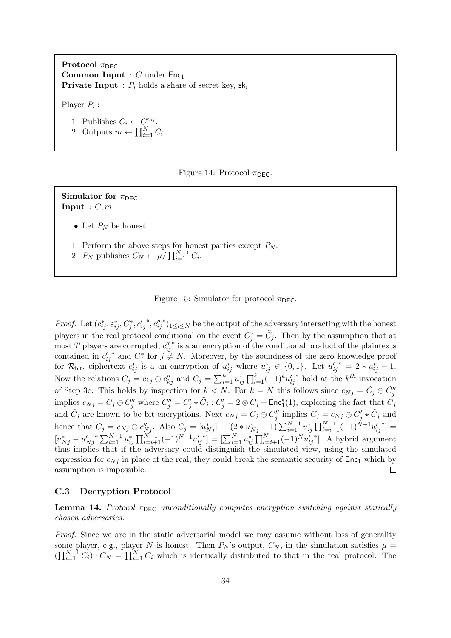Protocol  $\pi_{\text{DEC}}$ **Common Input** :  $C$  under  $Enc_1$ . **Private Input** :  $P_i$  holds a share of secret key,  $sk_i$ 

Player  $P_i$ :

1. Publishes  $C_i \leftarrow C^{\mathsf{sk}_i}$ . 2. Outputs  $m \leftarrow \prod_{i=1}^{N} C_i$ .



Simulator for  $\pi$ <sub>DEC</sub> **Input** :  $C, m$ 

- Let  $P_N$  be honest.
- 1. Perform the above steps for honest parties except  $P_N$ .
- 2.  $P_N$  publishes  $C_N \leftarrow \mu / \prod_{i=1}^{N-1} C_i$ .

Figure 15: Simulator for protocol  $\pi_{\text{DEC}}$ .

\*,  $c_{ij}''$ \* $)$ <sub>1≤i≤N</sub> be the output of the adversary interacting with the honest Proof. Let  $(c_{ij}^*, \varepsilon_{ij}^*, C_j^*, c_{ij}^{\prime})$ players in the real protocol conditional on the event  $C_j^* = \tilde{C}_j$ . Then by the assumption that at ∗ is a an encryption of the conditional product of the plaintexts most T players are corrupted,  $c_{ij}^{\prime\prime}$ \* and  $C_j^*$  for  $j \neq N$ . Moreover, by the soundness of the zero knowledge proof contained in  $c'_{ij}$ for  $\mathcal{R}_{\text{bit}}$ , ciphertext  $c_{ij}^*$  is a an encryption of  $u_{ij}^*$  where  $u_{ij}^* \in \{0,1\}$ . Let  $u_{ij}'^* = 2 * u_{ij}^* - 1$ .  $*$  hold at the  $k^{th}$  invocation Now the relations  $C_j = c_{kj} \ominus c_{kj}''$  and  $C_j = \sum_{i=1}^k u_{ij}^* \prod_{l=1}^k (-1)^k u_{lj}'$ of Step 3c. This holds by inspection for  $k < N$ . For  $k = N$  this follows since  $c_{Nj} = \tilde{C}_j \oplus \tilde{C}_j''$ implies  $c_{Nj} = C_j \ominus C''_j$  where  $C''_j = C'_j \star \tilde{C}_j : C'_j = 2 \otimes C_j - \text{Enc}^*_1(1)$ , exploiting the fact that  $\tilde{C}_j$ and  $\tilde{C}_j$  are known to be bit encryptions. Next  $c_{Nj} = C_j \ominus C''_j$  implies  $C_j = c_{Nj} \ominus C'_j \star \tilde{C}_j$  and hence that  $C_j = c_{Nj} \oplus c_{Nj}'$ . Also  $C_j = [u_{Nj}^*] - [(2*u_{Nj}^* - 1) \sum_{i=1}^{N-1} u_{ij}^* \prod_{l=i+1}^{N-1} (-1)^{N-1} u_{lj}'$  $\overline{\ }$  =  $[u_{Nj}^* - u'_{Nj}^* \sum_{i=1}^{N-1} u_{ij}^* \prod_{l=i+1}^{N-1} (-1)^{N-1} u'_{lj}]$  $\mathbf{F}^* = [\sum_{i=1}^N u_{ij}^* \prod_{l=i+1}^N (-1)^N u_{lj}^l$ ∗ ]. A hybrid argument thus implies that if the adversary could distinguish the simulated view, using the simulated expression for  $c_{Ni}$  in place of the real, they could break the semantic security of  $Enc<sub>1</sub>$  which by assumption is impossible.  $\Box$ 

#### C.3 Decryption Protocol

**Lemma 14.** Protocol  $\pi_{\text{DEC}}$  unconditionally computes encryption switching against statically chosen adversaries.

Proof. Since we are in the static adversarial model we may assume without loss of generality some player, e.g., player N is honest. Then  $P_N$ 's output,  $C_N$ , in the simulation satisfies  $\mu =$  $(\prod_{i=1}^{N-1} C_i) \cdot C_N = \prod_{i=1}^{N} C_i$  which is identically distributed to that in the real protocol. The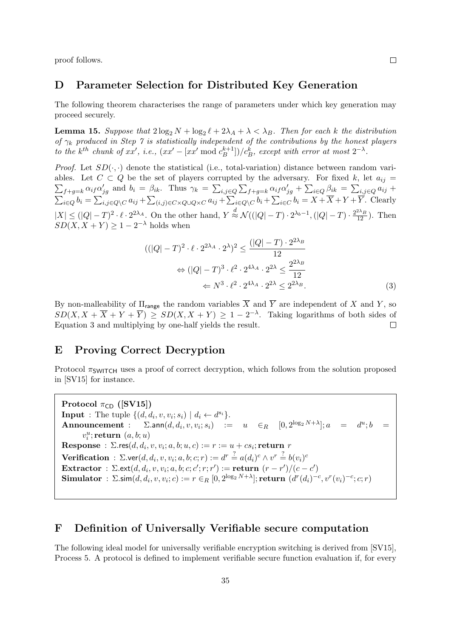proof follows.

### D Parameter Selection for Distributed Key Generation

The following theorem characterises the range of parameters under which key generation may proceed securely.

**Lemma 15.** Suppose that  $2\log_2 N + \log_2 \ell + 2\lambda_A + \lambda < \lambda_B$ . Then for each k the distribution of  $\gamma_k$  produced in Step 7 is statistically independent of the contributions by the honest players to the k<sup>th</sup> chunk of xx', i.e.,  $(xx'-[xx' \mod c_B^{k+1}]$  $\binom{k+1}{B}/c_B^k$ , except with error at most  $2^{-\lambda}$ .

*Proof.* Let  $SD(\cdot, \cdot)$  denote the statistical (i.e., total-variation) distance between random vari- $\sum_{f+g=k} \alpha_{if} \alpha'_{jg}$  and  $b_i = \beta_{ik}$ . Thus  $\gamma_k = \sum_{i,j \in Q} \sum_{f+g=k} \alpha_{if} \alpha'_{jg} + \sum_{i \in Q} \beta_{ik} = \sum_{i,j \in Q} a_{ij} +$ ables. Let  $C \subset Q$  be the set of players corrupted by the adversary. For fixed k, let  $a_{ii} =$  $\sum_{i\in Q} b_i = \sum_{i,j\in Q\setminus C} a_{ij} + \sum_{(i,j)\in C\times Q\cup Q\times C} a_{ij} + \sum_{i\in Q\setminus C} b_i + \sum_{i\in C} b_i = X + \overline{X} + Y + \overline{Y}$ . Clearly  $|X| \leq (|Q|-T)^2 \cdot \ell \cdot 2^{2\lambda_A}$ . On the other hand,  $Y \stackrel{d}{\approx} \mathcal{N}((|Q|-T) \cdot 2^{\lambda_b-1}, (|Q|-T) \cdot \frac{2^{2\lambda_B}}{12})$ . Then  $SD(X, X + Y) \geq 1 - 2^{-\lambda}$  holds when

$$
((|Q|-T)^2 \cdot \ell \cdot 2^{2\lambda_A} \cdot 2^{\lambda})^2 \le \frac{(|Q|-T) \cdot 2^{2\lambda_B}}{12}
$$

$$
\Leftrightarrow (|Q|-T)^3 \cdot \ell^2 \cdot 2^{4\lambda_A} \cdot 2^{2\lambda} \le \frac{2^{2\lambda_B}}{12}
$$

$$
\Leftrightarrow N^3 \cdot \ell^2 \cdot 2^{4\lambda_A} \cdot 2^{2\lambda} \le 2^{2\lambda_B}.
$$

$$
(3)
$$

By non-malleability of  $\Pi_{\text{range}}$  the random variables  $\overline{X}$  and  $\overline{Y}$  are independent of X and Y, so  $SD(X, X + \overline{X} + Y + \overline{Y}) \geq SD(X, X + Y) \geq 1 - 2^{-\lambda}$ . Taking logarithms of both sides of Equation 3 and multiplying by one-half yields the result.  $\Box$ 

# E Proving Correct Decryption

Protocol  $\pi_{\text{SWITCH}}$  uses a proof of correct decryption, which follows from the solution proposed in [SV15] for instance.

Protocol  $\pi_{CD}$  ([SV15]) **Input** : The tuple  $\{(d, d_i, v, v_i; s_i) \mid d_i \leftarrow d^{s_i}\}.$ Announcement :  $(v,v_i;s_i)$  :=  $u \in_R [0,2^{\log_2 N + \lambda}]; a = d^u; b =$  $v_i^u;$ return  $(a, b; u)$  $\textbf{Response}\,:\, \Sigma.\textsf{res}(d, d_i, v, v_i; a, b; u, c) := r := u + cs_i; \textbf{return}\,\, r$  $\textbf{Verification: } \Sigma.\mathsf{ver}(d, d_i, v, v_i; a, b; c; r) := d^r \stackrel{?}{=} a(d_i)^c \wedge v^r \stackrel{?}{=} b(v_i)^c$ Extractor :  $\Sigma$ .ext $(d, d_i, v, v_i; a, b; c; c'; r; r') := \textbf{return } (r - r') / (c - c')$  $\textbf{Simulator}\,:\, \Sigma.\textsf{sim}(d, d_i, v, v_i; c) := r \in_R [0, 2^{\log_2 N + \lambda}]; \textbf{return}\,\, (d^r(d_i)^{-c}, v^r(v_i)^{-c}; c; r)$ 

# F Definition of Universally Verifiable secure computation

The following ideal model for universally verifiable encryption switching is derived from [SV15], Process 5. A protocol is defined to implement verifiable secure function evaluation if, for every